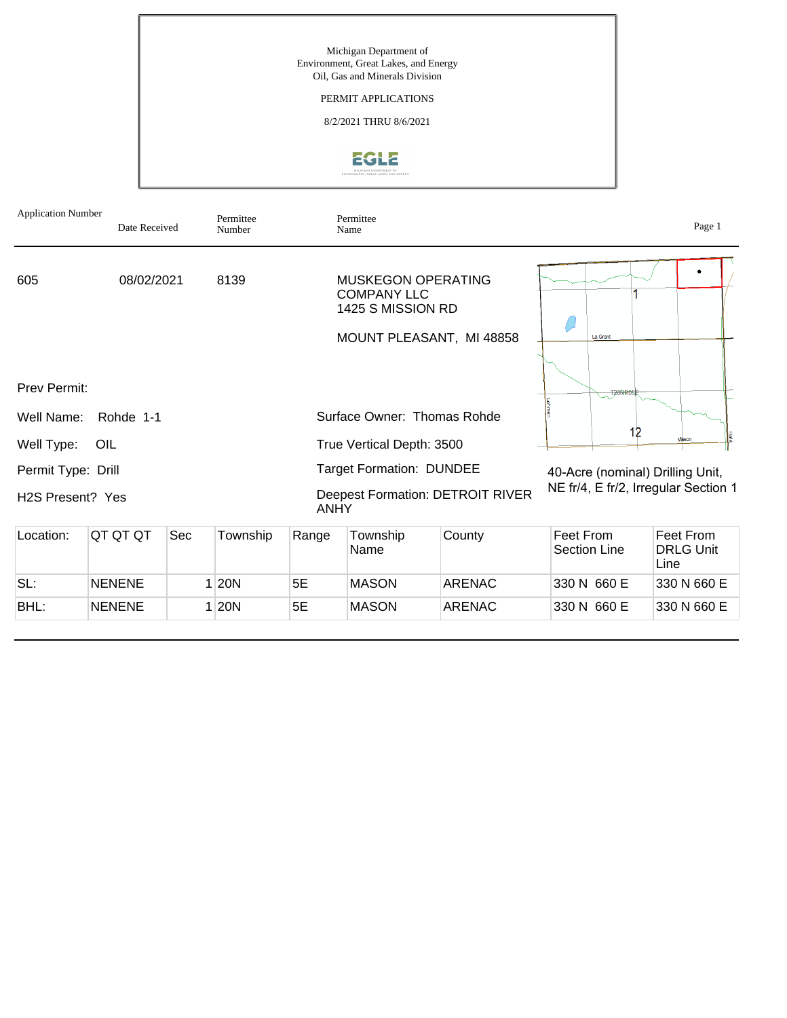Michigan Department of Environment, Great Lakes, and Energy Oil, Gas and Minerals Division

#### PERMIT APPLICATIONS

8/2/2021 THRU 8/6/2021



| <b>Application Number</b>     | Date Received |     | Permittee<br>Number |                                 | Permittee<br>Name                                                                                |                                         |                                      | Page 1                                |  |
|-------------------------------|---------------|-----|---------------------|---------------------------------|--------------------------------------------------------------------------------------------------|-----------------------------------------|--------------------------------------|---------------------------------------|--|
| 605                           | 08/02/2021    |     | 8139                |                                 | <b>MUSKEGON OPERATING</b><br><b>COMPANY LLC</b><br>1425 S MISSION RD<br>MOUNT PLEASANT, MI 48858 |                                         | <b>La Grant</b>                      |                                       |  |
| <b>Prev Permit:</b>           |               |     |                     |                                 |                                                                                                  |                                         | T20NR0                               |                                       |  |
| Well Name:                    | Rohde 1-1     |     |                     |                                 | Surface Owner: Thomas Rohde                                                                      |                                         |                                      |                                       |  |
| Well Type:                    | OIL           |     |                     |                                 | True Vertical Depth: 3500                                                                        | 12                                      | Mason                                |                                       |  |
| Permit Type: Drill            |               |     |                     | <b>Target Formation: DUNDEE</b> |                                                                                                  |                                         | 40-Acre (nominal) Drilling Unit,     |                                       |  |
| H <sub>2</sub> S Present? Yes |               |     |                     | <b>ANHY</b>                     |                                                                                                  | <b>Deepest Formation: DETROIT RIVER</b> | NE fr/4, E fr/2, Irregular Section 1 |                                       |  |
| Location:                     | QT QT QT      | Sec | Township            | Range                           | Township<br>Name                                                                                 | County                                  | Feet From<br><b>Section Line</b>     | Feet From<br><b>DRLG Unit</b><br>Line |  |
| SL:                           | <b>NENENE</b> |     | 1 20N               | 5E                              | <b>MASON</b>                                                                                     | <b>ARENAC</b>                           | 330 N 660 E                          | 330 N 660 E                           |  |
| BHL:                          | <b>NENENE</b> |     | 1 20N               | 5E                              | <b>MASON</b>                                                                                     | <b>ARENAC</b>                           | 330 N 660 E                          | 330 N 660 E                           |  |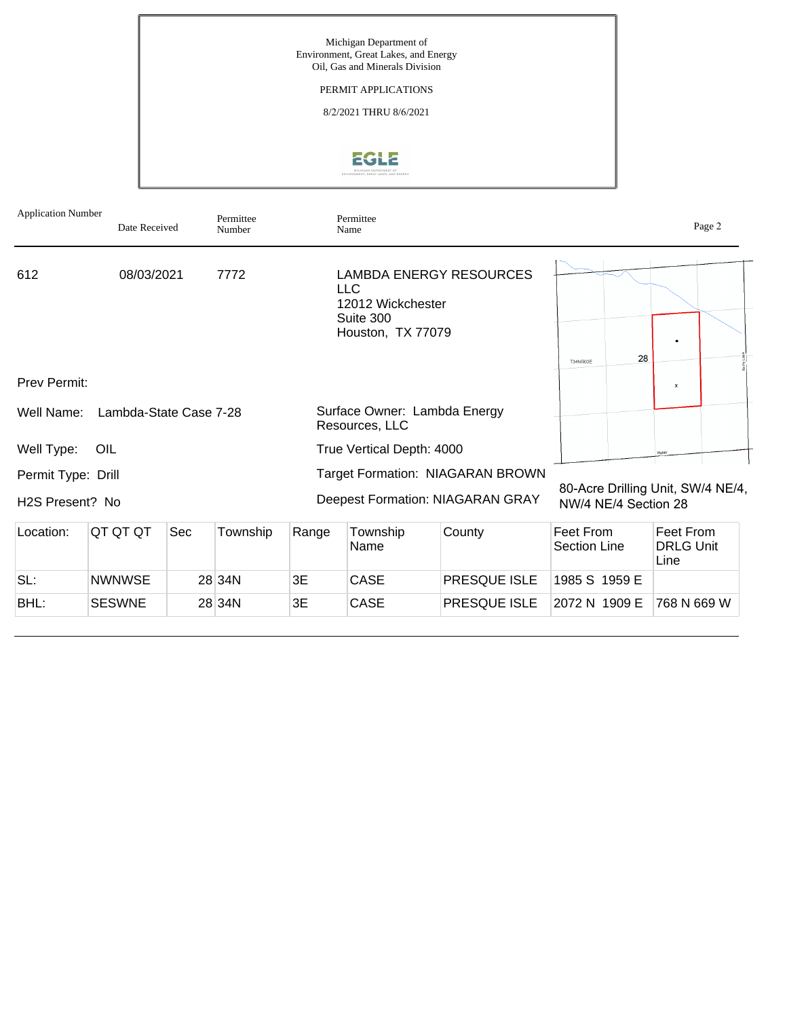

| <b>Application Number</b>             | Date Received          |     | Permittee<br>Number |       | Permittee<br>Name                                                 |                                                                      |                                                           |                                       | Page 2 |
|---------------------------------------|------------------------|-----|---------------------|-------|-------------------------------------------------------------------|----------------------------------------------------------------------|-----------------------------------------------------------|---------------------------------------|--------|
| 612                                   | 08/03/2021             |     | 7772                |       | <b>LLC</b><br>12012 Wickchester<br>Suite 300<br>Houston, TX 77079 | <b>LAMBDA ENERGY RESOURCES</b>                                       | 28<br><b>T34NR03E</b>                                     |                                       |        |
| Prev Permit:                          |                        |     |                     |       |                                                                   |                                                                      |                                                           | $\overline{\mathbf{x}}$               |        |
| Well Name:                            | Lambda-State Case 7-28 |     |                     |       | Surface Owner: Lambda Energy<br>Resources, LLC                    |                                                                      |                                                           |                                       |        |
| Well Type:                            | OIL                    |     |                     |       | True Vertical Depth: 4000                                         |                                                                      |                                                           |                                       |        |
| Permit Type: Drill<br>H2S Present? No |                        |     |                     |       |                                                                   | Target Formation: NIAGARAN BROWN<br>Deepest Formation: NIAGARAN GRAY | 80-Acre Drilling Unit, SW/4 NE/4,<br>NW/4 NE/4 Section 28 |                                       |        |
| Location:                             | QT QT QT               | Sec | Township            | Range | Township<br>Name                                                  | County                                                               | Feet From<br><b>Section Line</b>                          | Feet From<br><b>DRLG Unit</b><br>Line |        |
| SL:                                   | <b>NWNWSE</b>          |     | 28 34N              | 3E    | <b>CASE</b>                                                       | <b>PRESQUE ISLE</b>                                                  | 1985 S 1959 E                                             |                                       |        |
| BHL:                                  | <b>SESWNE</b>          |     | 28 34N              | 3E    | <b>CASE</b>                                                       | PRESQUE ISLE                                                         | 2072 N 1909 E                                             | 768 N 669 W                           |        |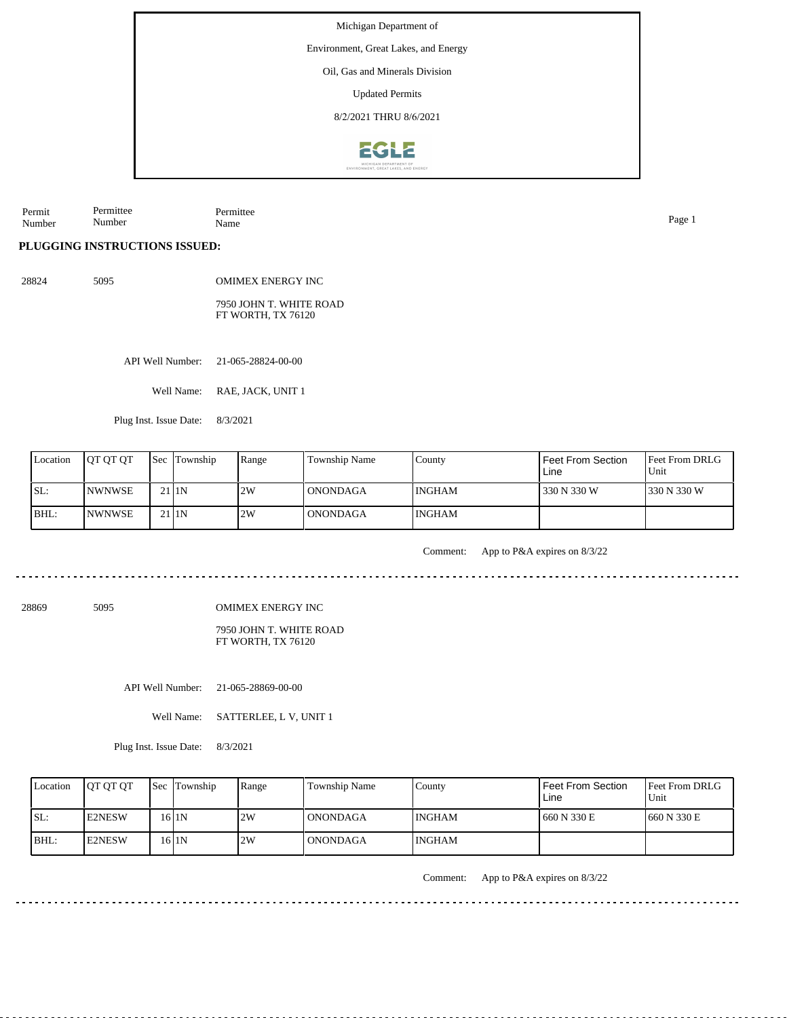Environment, Great Lakes, and Energy

Oil, Gas and Minerals Division

Updated Permits

8/2/2021 THRU 8/6/2021



Permit Number Permittee Number Permittee Name Page 1

#### **PLUGGING INSTRUCTIONS ISSUED:**

28824 5095 OMIMEX ENERGY INC

> 7950 JOHN T. WHITE ROAD FT WORTH, TX 76120

API Well Number: 21-065-28824-00-00

Well Name: RAE, JACK, UNIT 1

Plug Inst. Issue Date: 8/3/2021

| Location | <b>IOT OT OT</b> | <b>Sec Township</b> | Range | Township Name   | County        | Feet From Section<br>Line | <b>Feet From DRLG</b><br>Unit |
|----------|------------------|---------------------|-------|-----------------|---------------|---------------------------|-------------------------------|
| SL:      | <b>INWNWSE</b>   | 21 <sub>I1N</sub>   | 2W    | I ONONDAGA      | <b>INGHAM</b> | 330 N 330 W               | 1330 N 330 W                  |
| BHL:     | INWNWSE          | 21 <sub>I1N</sub>   | 2W    | <b>ONONDAGA</b> | <b>INGHAM</b> |                           |                               |

Comment: App to P&A expires on 8/3/22

28869 5095

OMIMEX ENERGY INC

7950 JOHN T. WHITE ROAD FT WORTH, TX 76120

API Well Number: 21-065-28869-00-00

Well Name: SATTERLEE, L V, UNIT 1

Plug Inst. Issue Date: 8/3/2021

| Location | <b>IOT OT OT</b> | <b>Sec</b> Township | Range | Township Name | County        | Feet From Section<br>Line | Feet From DRLG<br>Unit |
|----------|------------------|---------------------|-------|---------------|---------------|---------------------------|------------------------|
| ISL:     | <b>E2NESW</b>    | 16 I 1 N            | 2W    | l ONONDAGA    | <b>INGHAM</b> | 660 N 330 E               | 1660 N 330 E           |
| BHL:     | <b>IE2NESW</b>   | 16 <sub>I1N</sub>   | 2W    | l ONONDAGA    | <b>INGHAM</b> |                           |                        |

Comment: App to P&A expires on 8/3/22

 $\mathcal{L}^{\mathcal{A}}\mathcal{L}^{\mathcal{A}}\mathcal{L}^{\mathcal{A}}\mathcal{L}^{\mathcal{A}}\mathcal{L}^{\mathcal{A}}\mathcal{L}^{\mathcal{A}}\mathcal{L}^{\mathcal{A}}\mathcal{L}^{\mathcal{A}}\mathcal{L}^{\mathcal{A}}\mathcal{L}^{\mathcal{A}}$ 

<u>. . . . . . . . . . .</u>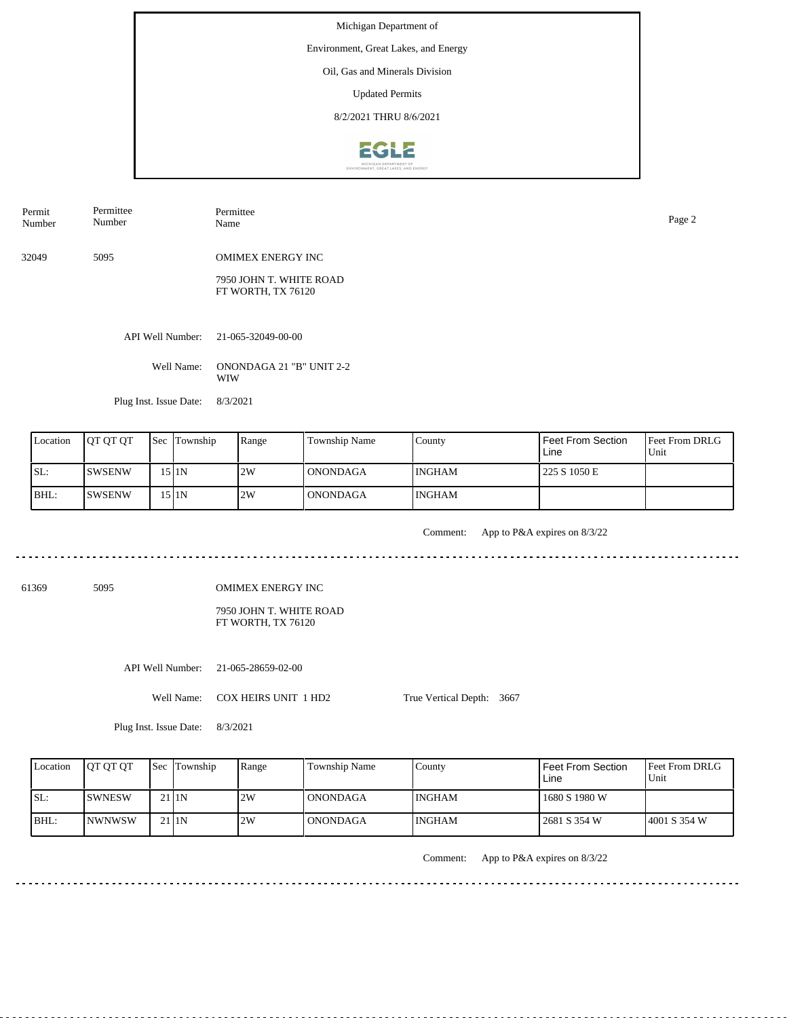Environment, Great Lakes, and Energy

Oil, Gas and Minerals Division

Updated Permits

8/2/2021 THRU 8/6/2021



| Permit<br>Number | Permittee<br>Number | Permittee<br>Name                             | Page 2 |
|------------------|---------------------|-----------------------------------------------|--------|
| 32049            | 5095                | <b>OMIMEX ENERGY INC</b>                      |        |
|                  |                     | 7950 JOHN T. WHITE ROAD<br>FT WORTH, TX 76120 |        |

API Well Number: 21-065-32049-00-00

Well Name: ONONDAGA 21 "B" UNIT 2-2 WIW

Plug Inst. Issue Date: 8/3/2021

<u>. . . . . . . . . . . .</u>

| Location | <b>IOT OT OT</b> | Sec | Township | Range | Township Name   | County        | Feet From Section<br>Line | <b>Feet From DRLG</b><br>Unit |
|----------|------------------|-----|----------|-------|-----------------|---------------|---------------------------|-------------------------------|
| SL:      | ISWSENW          |     | 15 I 1 N | 2W    | l ONONDAGA      | INGHAM        | 225 S 1050 E              |                               |
| BHL:     | <b>SWSENW</b>    |     | 15 I 1 N | 2W    | <b>ONONDAGA</b> | <b>INGHAM</b> |                           |                               |

Comment: App to P&A expires on 8/3/22 

61369 5095

OMIMEX ENERGY INC

7950 JOHN T. WHITE ROAD FT WORTH, TX 76120

API Well Number: 21-065-28659-02-00

Well Name: COX HEIRS UNIT 1 HD2

True Vertical Depth: 3667

Plug Inst. Issue Date: 8/3/2021

| Location | <b>IOT OT OT</b> | <b>Sec Township</b> | Range | <b>Township Name</b> | County        | <b>Feet From Section</b><br>Line | <b>Feet From DRLG</b><br>Unit |
|----------|------------------|---------------------|-------|----------------------|---------------|----------------------------------|-------------------------------|
| ISL:     | <b>ISWNESW</b>   | 21 <sub>IN</sub>    | 2W    | <b>ONONDAGA</b>      | INGHAM        | 1680 S 1980 W                    |                               |
| BHL:     | <b>INWNWSW</b>   | $21$  1N            | 2W    | <b>ONONDAGA</b>      | <b>INGHAM</b> | 2681 S 354 W                     | 4001 S 354 W                  |

Comment: App to P&A expires on 8/3/22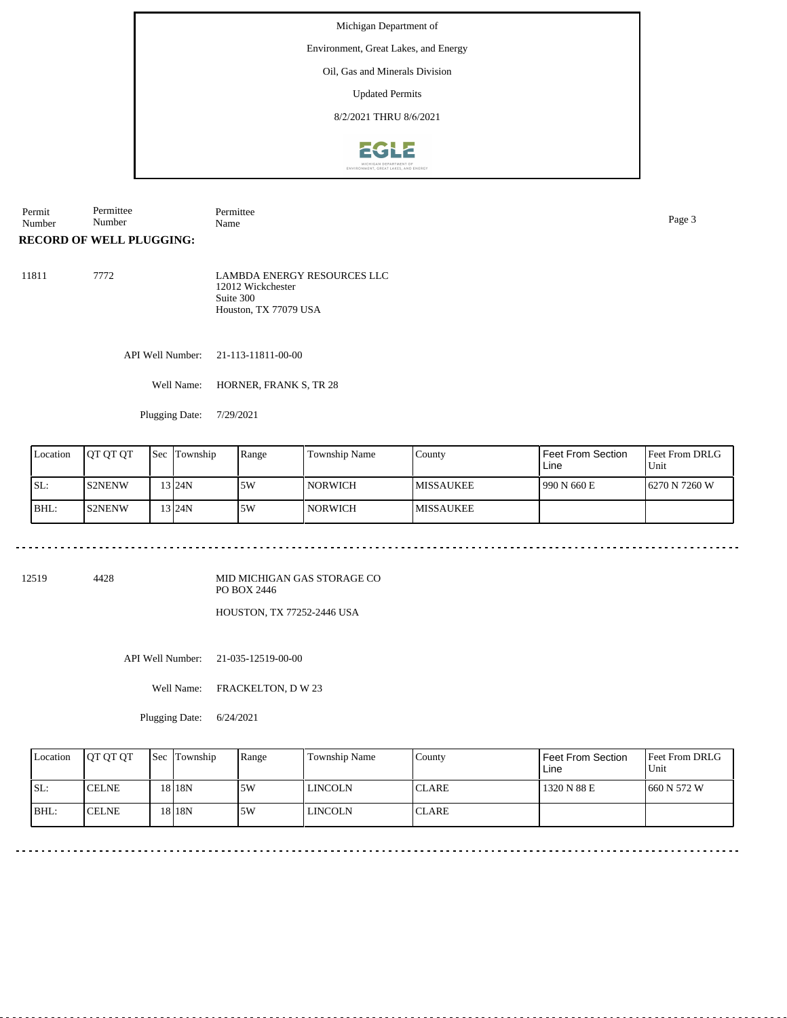Environment, Great Lakes, and Energy

#### Oil, Gas and Minerals Division

Updated Permits

8/2/2021 THRU 8/6/2021



| Permit      | $I \cap \cdots \cap I$<br>mittee | m:<br>. |      |
|-------------|----------------------------------|---------|------|
| <b>Numb</b> | . .<br>Number -                  | Name    | γaσe |

#### **RECORD OF WELL PLUGGING:**

| 11811 | 7772 | LAMBDA ENERGY RESOURCES LLC<br>12012 Wickchester |
|-------|------|--------------------------------------------------|
|       |      | Suite 300                                        |
|       |      | Houston, TX 77079 USA                            |

API Well Number: 21-113-11811-00-00

Well Name: HORNER, FRANK S, TR 28

Plugging Date: 7/29/2021

| Location | <b>IOT OT OT</b> | Sec | Township           | Range | Township Name | County            | I Feet From Section<br>Line | <b>Feet From DRLG</b><br>Unit |
|----------|------------------|-----|--------------------|-------|---------------|-------------------|-----------------------------|-------------------------------|
| SL:      | <b>S2NENW</b>    |     | 13 <sub>124N</sub> | 15W   | NORWICH       | <b>IMISSAUKEE</b> | 990 N 660 E                 | 16270 N 7260 W                |
| BHL:     | <b>S2NENW</b>    |     | 13 <sub>124N</sub> | 5W    | NORWICH       | <b>MISSAUKEE</b>  |                             |                               |

<u>. . . . . . . . . . . . .</u> <u>. . . . . .</u>

12519 4428

MID MICHIGAN GAS STORAGE CO PO BOX 2446

HOUSTON, TX 77252-2446 USA

API Well Number: 21-035-12519-00-00

Well Name: FRACKELTON, D W 23

Plugging Date: 6/24/2021

| Location | <b>IOT OT OT</b> | <b>Sec Township</b> | Range | <b>Township Name</b> | Countv        | Feet From Section<br>Line | <b>Feet From DRLG</b><br>Unit |
|----------|------------------|---------------------|-------|----------------------|---------------|---------------------------|-------------------------------|
| SL:      | <b>ICELNE</b>    | 18 18N              | 5W    | <b>LINCOLN</b>       | <b>ICLARE</b> | 1320 N 88 E               | 1660 N 572 W                  |
| BHL:     | <b>ICELNE</b>    | 18 18 N             | .5W   | <b>LINCOLN</b>       | <b>CLARE</b>  |                           |                               |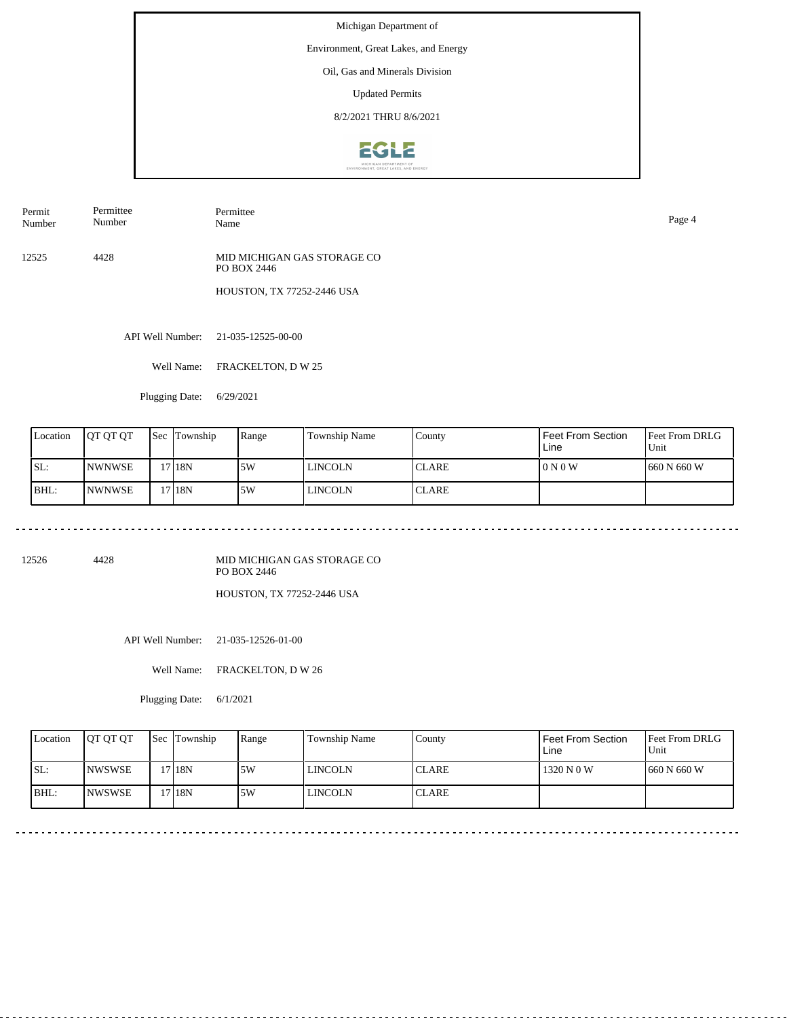Environment, Great Lakes, and Energy

## Oil, Gas and Minerals Division

Updated Permits

8/2/2021 THRU 8/6/2021



Permit Number Permittee Number Permittee

12525 4428 MID MICHIGAN GAS STORAGE CO PO BOX 2446

HOUSTON, TX 77252-2446 USA

API Well Number: 21-035-12525-00-00

Well Name: FRACKELTON, D W 25

Plugging Date: 6/29/2021

| Location | <b>IOT OT OT</b> | <b>Sec</b> | Township | Range | Township Name | County       | Feet From Section<br>Line | <b>Feet From DRLG</b><br>Unit |
|----------|------------------|------------|----------|-------|---------------|--------------|---------------------------|-------------------------------|
| ISL:     | <b>INWNWSE</b>   |            | 17 18N   | 5W    | l lincoln     | <b>CLARE</b> | 0 N 0 W                   | 1660 N 660 W                  |
| BHL:     | <b>INWNWSE</b>   |            | 17 18N   | 5W    | l lincoln     | <b>CLARE</b> |                           |                               |

12526 4428

MID MICHIGAN GAS STORAGE CO PO BOX 2446

HOUSTON, TX 77252-2446 USA

API Well Number: 21-035-12526-01-00

Well Name: FRACKELTON, D W 26

Plugging Date: 6/1/2021

| Location | <b>IOT OT OT</b> | <b>Sec</b> Township | Range | <b>Township Name</b> | Countv        | <b>Feet From Section</b><br>Line | <b>Feet From DRLG</b><br>Unit |
|----------|------------------|---------------------|-------|----------------------|---------------|----------------------------------|-------------------------------|
| ISL:     | <b>INWSWSE</b>   | '7118N              | 5W    | LINCOLN              | <b>ICLARE</b> | 1320 N 0 W                       | 1660 N 660 W                  |
| BHL:     | <b>INWSWSE</b>   | 17 I 18N            | .5W   | <b>LINCOLN</b>       | <b>CLARE</b>  |                                  |                               |

Name Page 4

<u>. . . . . . . . .</u>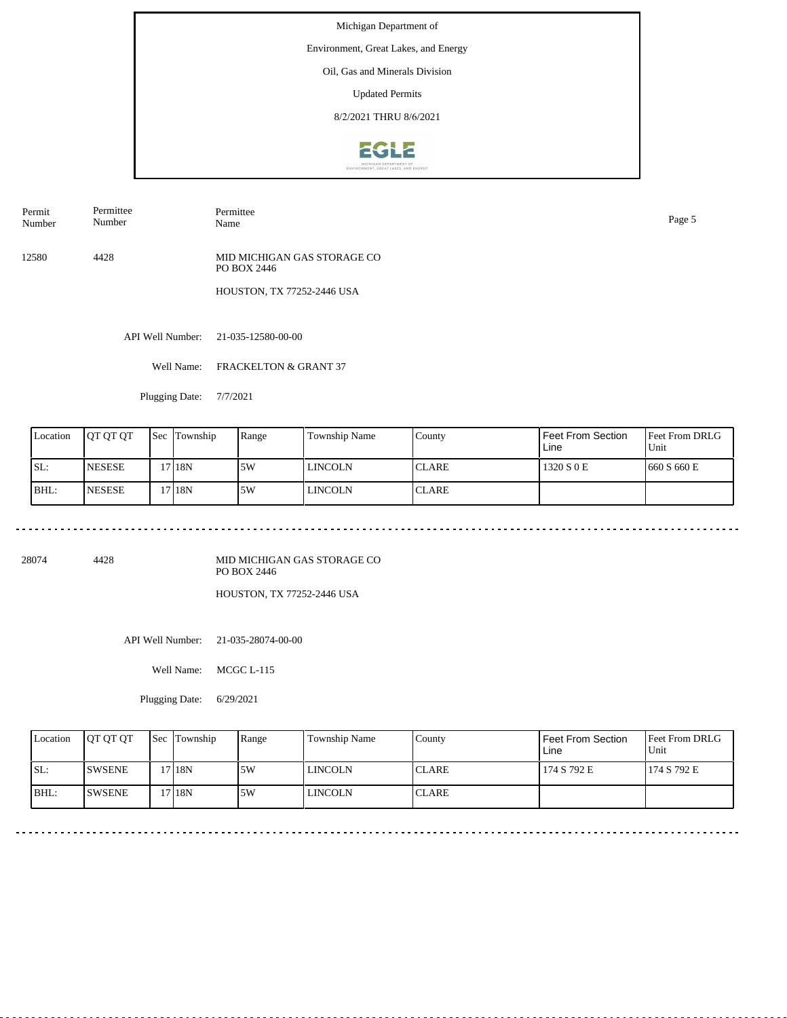Environment, Great Lakes, and Energy

#### Oil, Gas and Minerals Division

Updated Permits

8/2/2021 THRU 8/6/2021



Permit Number Permittee Number

Name Page 5

Permittee

12580 4428 MID MICHIGAN GAS STORAGE CO PO BOX 2446

HOUSTON, TX 77252-2446 USA

API Well Number: 21-035-12580-00-00

Well Name: FRACKELTON & GRANT 37

Plugging Date: 7/7/2021

| Location | IOT OT OT      | Sec | Township | Range | Township Name | County       | Feet From Section<br>Line | <b>Feet From DRLG</b><br>Unit |
|----------|----------------|-----|----------|-------|---------------|--------------|---------------------------|-------------------------------|
| ISL:     | <b>INESESE</b> |     | '718N    | 15W   | l lincoln     | <b>CLARE</b> | 1320 S 0 E                | 1660 S 660 E                  |
| BHL:     | <b>INESESE</b> |     | 17 18N   | 5W    | l lincoln     | <b>CLARE</b> |                           |                               |

28074 4428

MID MICHIGAN GAS STORAGE CO PO BOX 2446

HOUSTON, TX 77252-2446 USA

API Well Number: 21-035-28074-00-00

Well Name: MCGC L-115

Plugging Date: 6/29/2021

| Location | <b>IOT OT OT</b> | <b>Sec Township</b> | Range | <b>Township Name</b> | Countv        | Feet From Section<br>Line | <b>Feet From DRLG</b><br>Unit |
|----------|------------------|---------------------|-------|----------------------|---------------|---------------------------|-------------------------------|
| ISL:     | <b>SWSENE</b>    | 17 18N              | 5W    | LINCOLN              | <b>ICLARE</b> | 174 S 792 E               | 174 S 792 E                   |
| IBHL:    | <b>SWSENE</b>    | 17 18N              | .5W   | <b>LINCOLN</b>       | <b>CLARE</b>  |                           |                               |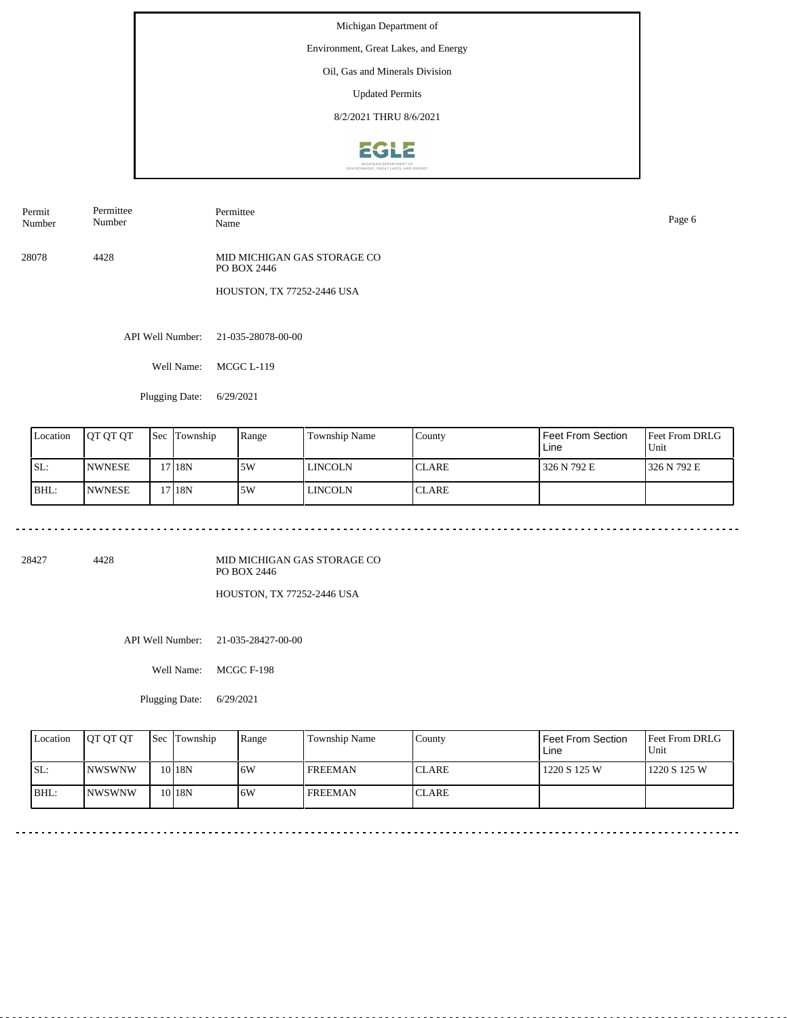Environment, Great Lakes, and Energy

# Oil, Gas and Minerals Division

Updated Permits

8/2/2021 THRU 8/6/2021



Permit Number Permittee Number Permittee

28078 4428 MID MICHIGAN GAS STORAGE CO PO BOX 2446

HOUSTON, TX 77252-2446 USA

API Well Number: 21-035-28078-00-00

Well Name: MCGC L-119

Plugging Date: 6/29/2021

| Location | <b>IOT OT OT</b> | <b>Sec Township</b> | Range | Township Name | County       | Feet From Section<br>Line | Feet From DRLG<br>Unit |
|----------|------------------|---------------------|-------|---------------|--------------|---------------------------|------------------------|
| SL:      | <b>INWNESE</b>   | 17 18N              | 5W    | l lincoln     | <b>CLARE</b> | 326 N 792 E               | 1326 N 792 E           |
| BHL:     | <b>NWNESE</b>    | 17 18N              | 5W    | l lincoln     | <b>CLARE</b> |                           |                        |

28427 4428

MID MICHIGAN GAS STORAGE CO PO BOX 2446

HOUSTON, TX 77252-2446 USA

API Well Number: 21-035-28427-00-00

Well Name: MCGC F-198

Plugging Date: 6/29/2021

| Location | <b>IOT OT OT</b> | <b>Sec Township</b> | Range | Township Name  | County       | Feet From Section<br>Line | <b>Feet From DRLG</b><br>Unit |
|----------|------------------|---------------------|-------|----------------|--------------|---------------------------|-------------------------------|
| ISL:     | <b>INWSWNW</b>   | $10$  18N           | 6W    | <b>FREEMAN</b> | <b>CLARE</b> | 1220 S 125 W              | 1220 S 125 W                  |
| BHL:     | <b>INWSWNW</b>   | $10$  18N           | 6W    | <b>FREEMAN</b> | <b>CLARE</b> |                           |                               |

Name Page 6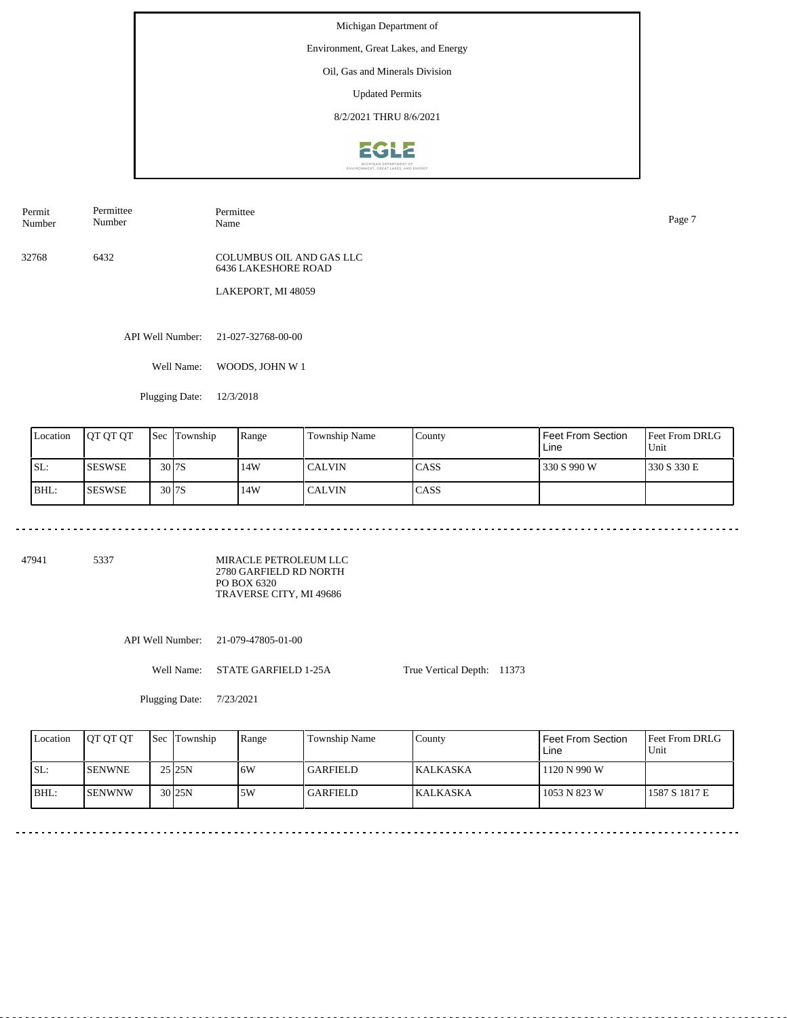Environment, Great Lakes, and Energy

Oil, Gas and Minerals Division

Updated Permits

8/2/2021 THRU 8/6/2021



Permit Number Permittee Number Permittee

32768 6432 COLUMBUS OIL AND GAS LLC 6436 LAKESHORE ROAD

LAKEPORT, MI 48059

API Well Number: 21-027-32768-00-00

Well Name: WOODS, JOHN W 1

Plugging Date: 12/3/2018

<u>. . . . . . . .</u>

| Location | <b>JOT OT OT</b> | <b>Sec Township</b> | Range | Township Name | County       | Feet From Section<br>Line | <b>Feet From DRLG</b><br>Unit |
|----------|------------------|---------------------|-------|---------------|--------------|---------------------------|-------------------------------|
| SL:      | <b>SESWSE</b>    | 30 <sub>17S</sub>   | 14W   | <b>CALVIN</b> | ICASS        | 330 S 990 W               | 1330 S 330 E                  |
| BHL:     | <b>ISESWSE</b>   | 30 <sub>17S</sub>   | 14W   | l CALVIN      | <b>ICASS</b> |                           |                               |

47941 5337

MIRACLE PETROLEUM LLC 2780 GARFIELD RD NORTH PO BOX 6320 TRAVERSE CITY, MI 49686

API Well Number: 21-079-47805-01-00

Well Name: STATE GARFIELD 1-25A

Plugging Date: 7/23/2021

True Vertical Depth: 11373

Feet From DRLG Unit 1587 S 1817 E 1120 N 990 W 1053 N 823 W Feet From Section Line County KALKASKA KALKASKA Location QT QT QT Sec Township Range Township Name SL: BHL: SENWNE SENWNW Sec Township 25 25N 30 25N 5W 6W GARFIELD GARFIELD

Name Page 7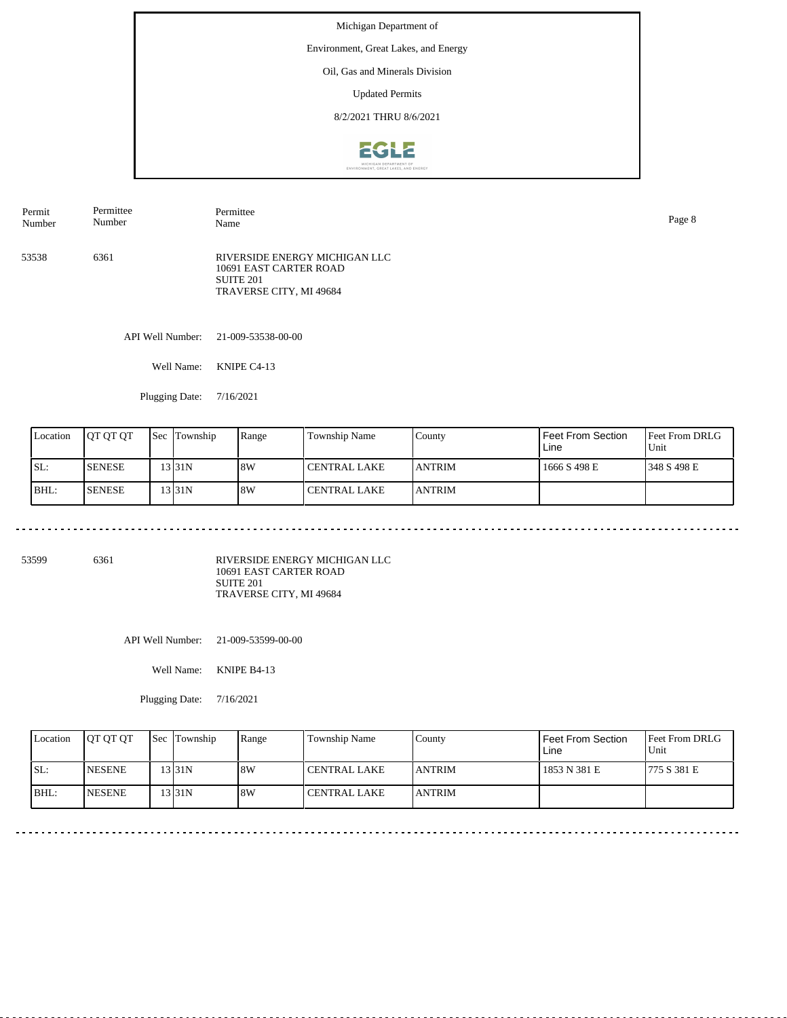Environment, Great Lakes, and Energy

## Oil, Gas and Minerals Division

Updated Permits

8/2/2021 THRU 8/6/2021



| Permit | Permittee | Permittee                                                                                       | Page 8 |
|--------|-----------|-------------------------------------------------------------------------------------------------|--------|
| Number | Number    | Name                                                                                            |        |
| 53538  | 6361      | RIVERSIDE ENERGY MICHIGAN LLC<br>10691 EAST CARTER ROAD<br>SUITE 201<br>TRAVERSE CITY, MI 49684 |        |

API Well Number: 21-009-53538-00-00

Well Name: KNIPE C4-13

Plugging Date: 7/16/2021

| Location | <b>IOT OT OT</b> | <b>Sec Township</b> | Range | Township Name         | County         | Feet From Section<br>Line | <b>Feet From DRLG</b><br>Unit |
|----------|------------------|---------------------|-------|-----------------------|----------------|---------------------------|-------------------------------|
| SL:      | <b>ISENESE</b>   | 13 I 31 N           | 8W    | l CENTRAL LAKE        | <b>JANTRIM</b> | 1666 S 498 E              | 1348 S 498 E                  |
| BHL:     | <b>SENESE</b>    | 13 I 31 N           | 8W    | <b>I CENTRAL LAKE</b> | <b>ANTRIM</b>  |                           |                               |

53599 6361

RIVERSIDE ENERGY MICHIGAN LLC 10691 EAST CARTER ROAD SUITE 201 TRAVERSE CITY, MI 49684

API Well Number: 21-009-53599-00-00

Well Name: KNIPE B4-13

Plugging Date: 7/16/2021

| Location | <b>OT OT OT</b> | <b>Sec</b> Township | Range | Township Name       | County         | Feet From Section<br>Line | <b>Feet From DRLG</b><br>Unit |
|----------|-----------------|---------------------|-------|---------------------|----------------|---------------------------|-------------------------------|
| ISL:     | <b>INESENE</b>  | 13 31 N             | 8W    | CENTRAL LAKE        | <b>LANTRIM</b> | 1853 N 381 E              | 1775 S 381 E                  |
| BHL:     | <b>INESENE</b>  | 13 I 31 N           | 8W    | <b>CENTRAL LAKE</b> | <b>JANTRIM</b> |                           |                               |

<u>. . . . . . . . . . . . .</u>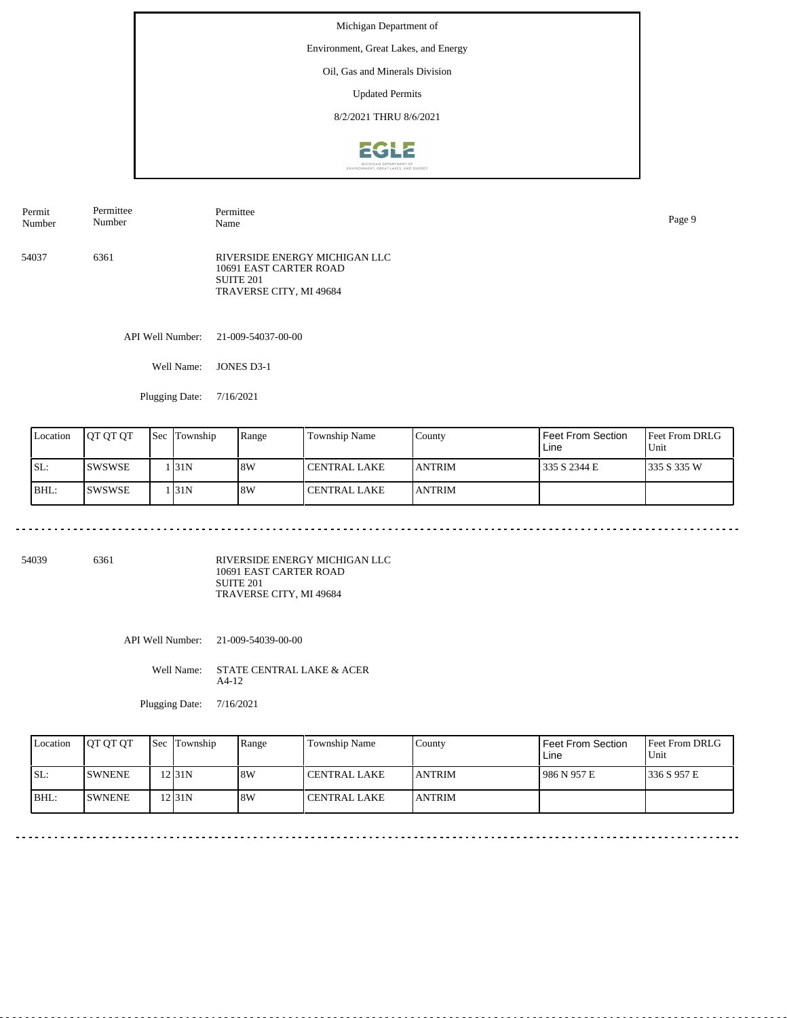Environment, Great Lakes, and Energy

## Oil, Gas and Minerals Division

Updated Permits

8/2/2021 THRU 8/6/2021



| Permit | Permittee | Permittee                                                                                       | Page 9 |
|--------|-----------|-------------------------------------------------------------------------------------------------|--------|
| Number | Number    | Name                                                                                            |        |
| 54037  | 6361      | RIVERSIDE ENERGY MICHIGAN LLC<br>10691 EAST CARTER ROAD<br>SUITE 201<br>TRAVERSE CITY, MI 49684 |        |

API Well Number: 21-009-54037-00-00

Well Name: JONES D3-1

Plugging Date: 7/16/2021

| Location | <b>IOT OT OT</b> | <b>Sec Township</b> | Range | Township Name  | County         | Feet From Section<br>Line | <b>Feet From DRLG</b><br>Unit |
|----------|------------------|---------------------|-------|----------------|----------------|---------------------------|-------------------------------|
| ISL:     | <b>ISWSWSE</b>   | . 31N               | 18W   | l CENTRAL LAKE | <b>JANTRIM</b> | 335 S 2344 E              | 1335 S 335 W                  |
| BHL:     | ISWSWSE          | . 131 N             | 8W    | l CENTRAL LAKE | <b>JANTRIM</b> |                           |                               |

54039 6361

RIVERSIDE ENERGY MICHIGAN LLC 10691 EAST CARTER ROAD SUITE 201 TRAVERSE CITY, MI 49684

API Well Number: 21-009-54039-00-00

Well Name: STATE CENTRAL LAKE & ACER A4-12

| Location | <b>IOT OT OT</b> | <b>Sec</b> Township | Range | Township Name       | County        | Feet From Section<br>Line | Feet From DRLG<br>Unit |
|----------|------------------|---------------------|-------|---------------------|---------------|---------------------------|------------------------|
| SL:      | <b>ISWNENE</b>   | 12 I 31 N           | 8W    | <b>CENTRAL LAKE</b> | <b>ANTRIM</b> | 986 N 957 E               | 1336 S 957 E           |
| BHL:     | <b>ISWNENE</b>   | 12 31 N             | 8W    | <b>CENTRAL LAKE</b> | <b>ANTRIM</b> |                           |                        |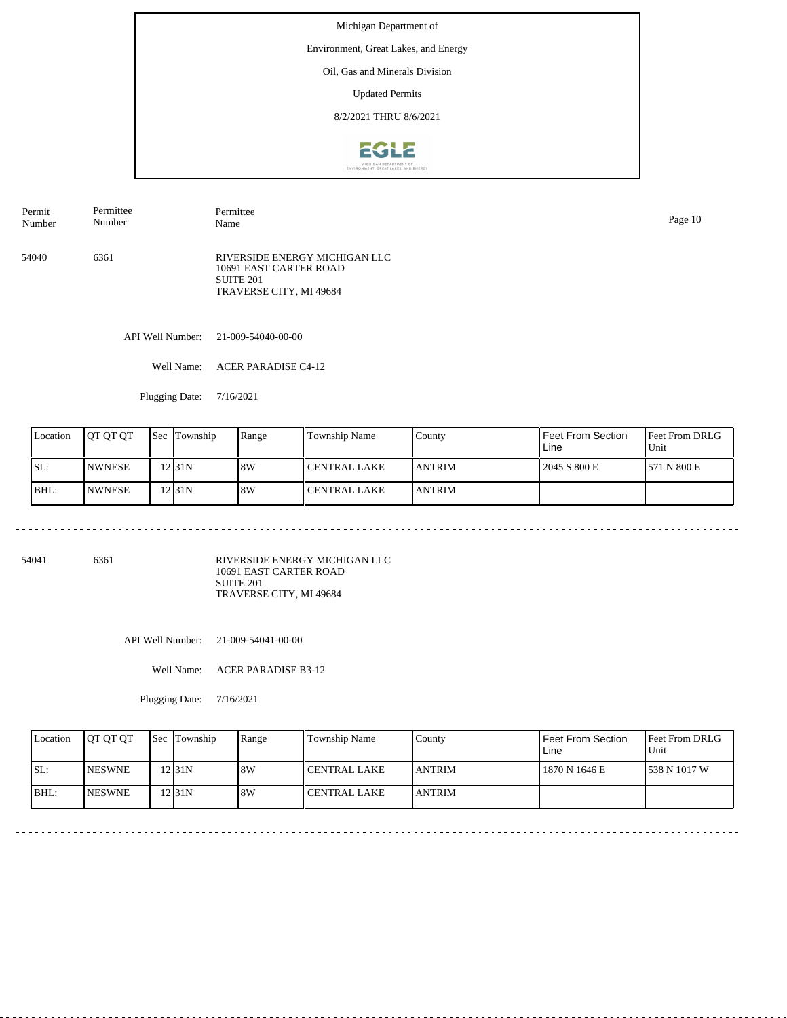Environment, Great Lakes, and Energy

### Oil, Gas and Minerals Division

Updated Permits

8/2/2021 THRU 8/6/2021



54040 6361 RIVERSIDE ENERGY MICHIGAN LLC 10691 EAST CARTER ROAD SUITE 201 TRAVERSE CITY, MI 49684 Permit Number Permittee Number Permittee Name Page 10

API Well Number: 21-009-54040-00-00

Well Name: ACER PARADISE C4-12

Plugging Date: 7/16/2021

| Location | <b>OT OT OT</b> | <b>Sec</b> | Township | Range | Township Name  | County         | Feet From Section<br>Line | <b>Feet From DRLG</b><br>Unit |
|----------|-----------------|------------|----------|-------|----------------|----------------|---------------------------|-------------------------------|
| ISL:     | <b>INWNESE</b>  |            | 2 31N    | 8W    | l CENTRAL LAKE | <b>LANTRIM</b> | 2045 S 800 E              | 1571 N 800 E                  |
| BHL:     | <b>NWNESE</b>   |            | 2 31N    | 8W    | l CENTRAL LAKE | <b>ANTRIM</b>  |                           |                               |

54041 6361

RIVERSIDE ENERGY MICHIGAN LLC 10691 EAST CARTER ROAD SUITE 201 TRAVERSE CITY, MI 49684

API Well Number: 21-009-54041-00-00

Well Name: ACER PARADISE B3-12

| Location | <b>OT OT OT</b> | <b>Sec</b> Township | Range | Township Name | County         | Feet From Section<br>Line | <b>Feet From DRLG</b><br>Unit |
|----------|-----------------|---------------------|-------|---------------|----------------|---------------------------|-------------------------------|
| ISL:     | <b>INESWNE</b>  | 12 31 N             | 8W    | CENTRAL LAKE  | <b>JANTRIM</b> | 1870 N 1646 E             | 538 N 1017 W                  |
| BHL:     | <b>INESWNE</b>  | 12 31 N             | 8W    | CENTRAL LAKE  | <b>ANTRIM</b>  |                           |                               |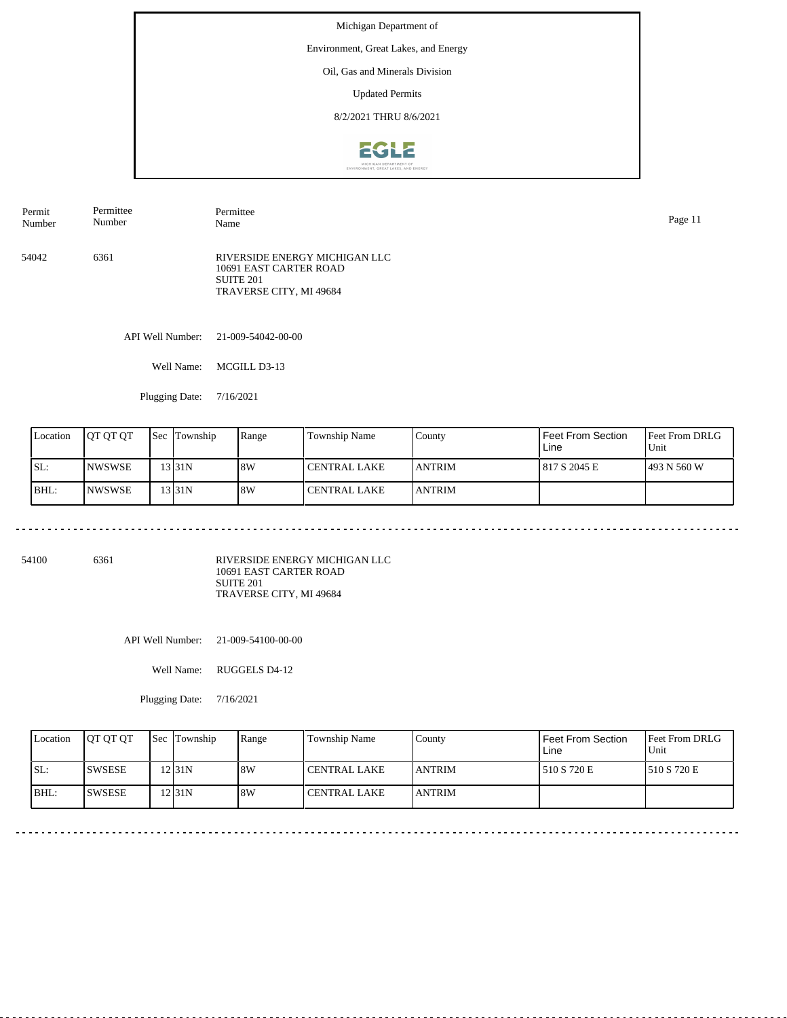Environment, Great Lakes, and Energy

## Oil, Gas and Minerals Division

Updated Permits

8/2/2021 THRU 8/6/2021



54042 6361 RIVERSIDE ENERGY MICHIGAN LLC 10691 EAST CARTER ROAD SUITE 201 TRAVERSE CITY, MI 49684 Permit Number Permittee Number Permittee Name Page 11

API Well Number: 21-009-54042-00-00

Well Name: MCGILL D3-13

Plugging Date: 7/16/2021

| Location | <b>JOT OT OT</b> | <b>Sec</b> | Township | Range | Township Name  | County         | Feet From Section<br>Line | <b>Feet From DRLG</b><br>Unit |
|----------|------------------|------------|----------|-------|----------------|----------------|---------------------------|-------------------------------|
| ISL:     | <b>INWSWSE</b>   |            | 13 31 N  | 8W    | l CENTRAL LAKE | <b>LANTRIM</b> | 817 S 2045 E              | 493 N 560 W                   |
| BHL:     | INWSWSE          |            | 13 31 N  | 8W    | l CENTRAL LAKE | <b>LANTRIM</b> |                           |                               |

54100 6361

RIVERSIDE ENERGY MICHIGAN LLC 10691 EAST CARTER ROAD SUITE 201 TRAVERSE CITY, MI 49684

API Well Number: 21-009-54100-00-00

Well Name: RUGGELS D4-12

| Location | <b>OT OT OT</b> | <b>Sec</b> Township | Range | Township Name       | Countv         | Feet From Section<br>Line | <b>Feet From DRLG</b><br>Unit |
|----------|-----------------|---------------------|-------|---------------------|----------------|---------------------------|-------------------------------|
| ISL:     | <b>ISWSESE</b>  | 12 31 N             | 8W    | <b>CENTRAL LAKE</b> | <b>LANTRIM</b> | 510 S 720 E               | 1510 S 720 E                  |
| BHL:     | <b>ISWSESE</b>  | 12 31 N             | 8W    | <b>CENTRAL LAKE</b> | <b>ANTRIM</b>  |                           |                               |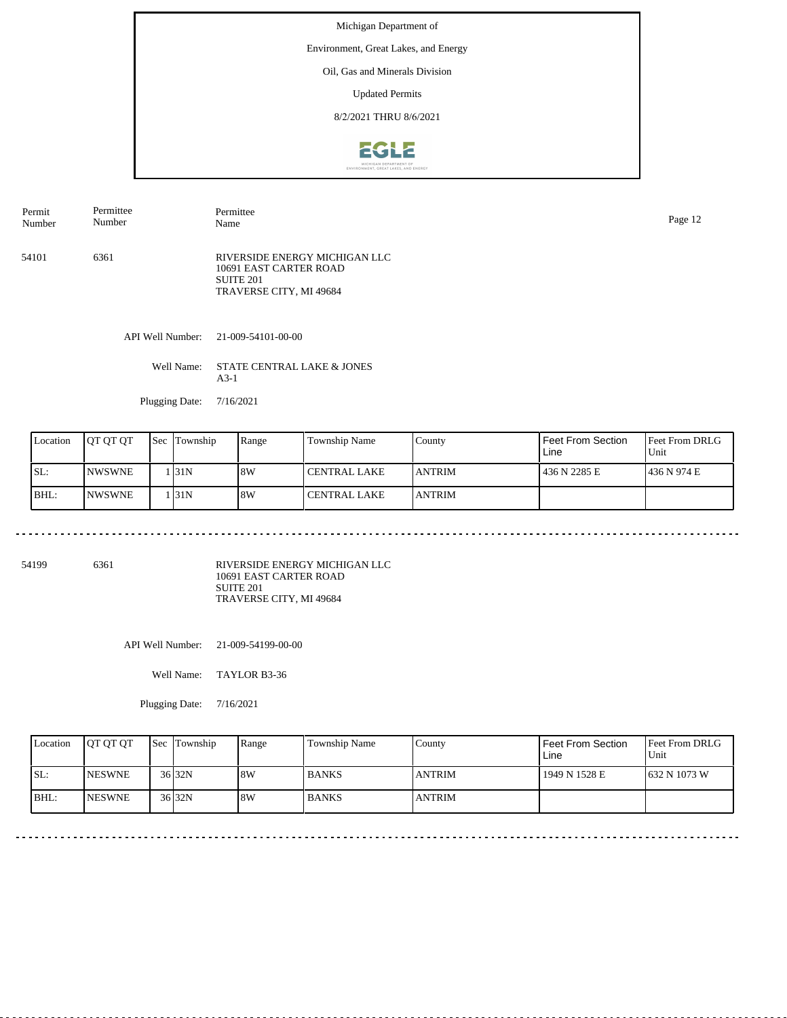Environment, Great Lakes, and Energy

### Oil, Gas and Minerals Division

Updated Permits

8/2/2021 THRU 8/6/2021



54101 6361 RIVERSIDE ENERGY MICHIGAN LLC 10691 EAST CARTER ROAD SUITE 201 TRAVERSE CITY, MI 49684 Permit Number Permittee Number Permittee Name Page 12

API Well Number: 21-009-54101-00-00

Well Name: STATE CENTRAL LAKE & JONES A3-1

Plugging Date: 7/16/2021

| Location | IOT OT OT      | Sec | Township | Range | Township Name  | County         | Feet From Section<br>Line | <b>Feet From DRLG</b><br>Unit |
|----------|----------------|-----|----------|-------|----------------|----------------|---------------------------|-------------------------------|
| SL:      | <b>NWSWNE</b>  |     | l 131N   | 8W    | l CENTRAL LAKE | <b>LANTRIM</b> | 436 N 2285 E              | 1436 N 974 E                  |
| BHL:     | <b>INWSWNE</b> |     | . 31N    | 8W    | l CENTRAL LAKE | <b>LANTRIM</b> |                           |                               |

54199 6361

. . . . . . . .

RIVERSIDE ENERGY MICHIGAN LLC 10691 EAST CARTER ROAD SUITE 201 TRAVERSE CITY, MI 49684

API Well Number: 21-009-54199-00-00

Well Name: TAYLOR B3-36

| Location | <b>IOT OT OT</b> | Sec Township | Range | Township Name | County        | Feet From Section<br>Line | <b>Feet From DRLG</b><br>Unit |
|----------|------------------|--------------|-------|---------------|---------------|---------------------------|-------------------------------|
| SL:      | <b>INESWNE</b>   | $36$ 32N     | 8W    | <b>BANKS</b>  | <b>ANTRIM</b> | 1949 N 1528 E             | 1632 N 1073 W                 |
| BHL:     | <b>INESWNE</b>   | $36$ 32N     | 8W    | <b>BANKS</b>  | <b>ANTRIM</b> |                           |                               |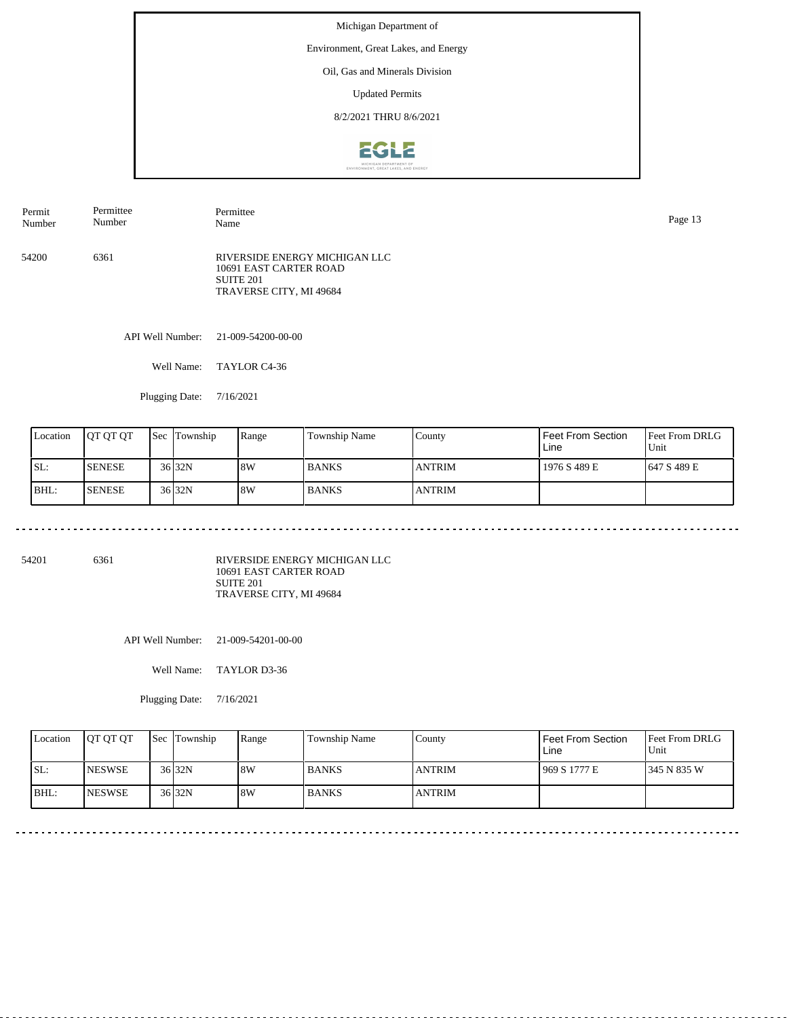Environment, Great Lakes, and Energy

## Oil, Gas and Minerals Division

Updated Permits

8/2/2021 THRU 8/6/2021



| Permit | Permittee | Permittee                                                                                              | Page 13 |
|--------|-----------|--------------------------------------------------------------------------------------------------------|---------|
| Number | Number    | Name                                                                                                   |         |
| 54200  | 6361      | RIVERSIDE ENERGY MICHIGAN LLC<br>10691 EAST CARTER ROAD<br><b>SUITE 201</b><br>TRAVERSE CITY, MI 49684 |         |

API Well Number: 21-009-54200-00-00

Well Name: TAYLOR C4-36

Plugging Date: 7/16/2021

| Location | <b>IOT OT OT</b> | <b>Sec</b> Township | Range | <b>Township Name</b> | County         | Feet From Section<br>Line | <b>Feet From DRLG</b><br>Unit |
|----------|------------------|---------------------|-------|----------------------|----------------|---------------------------|-------------------------------|
| SL:      | <b>SENESE</b>    | 36 <sub>32N</sub>   | 8W    | <b>BANKS</b>         | <b>IANTRIM</b> | 1976 S 489 E              | 1647 S 489 E                  |
| BHL:     | <b>SENESE</b>    | 36 <sub>32N</sub>   | 8W    | <b>BANKS</b>         | <b>ANTRIM</b>  |                           |                               |

54201 6361

RIVERSIDE ENERGY MICHIGAN LLC 10691 EAST CARTER ROAD SUITE 201 TRAVERSE CITY, MI 49684

API Well Number: 21-009-54201-00-00

Well Name: TAYLOR D3-36

Plugging Date: 7/16/2021

| Location | <b>IOT OT OT</b> | <b>Sec Township</b> | Range | Township Name | County        | Feet From Section<br>Line | <b>Feet From DRLG</b><br>Unit |
|----------|------------------|---------------------|-------|---------------|---------------|---------------------------|-------------------------------|
| ISL:     | <b>INESWSE</b>   | $36$ 32N            | 8W    | <b>BANKS</b>  | <b>ANTRIM</b> | 969 S 1777 E              | 1345 N 835 W                  |
| IBHL:    | <b>INESWSE</b>   | 36 <sub>32N</sub>   | 8W    | <b>BANKS</b>  | <b>ANTRIM</b> |                           |                               |

<u>. . . . . . . . . . . . .</u>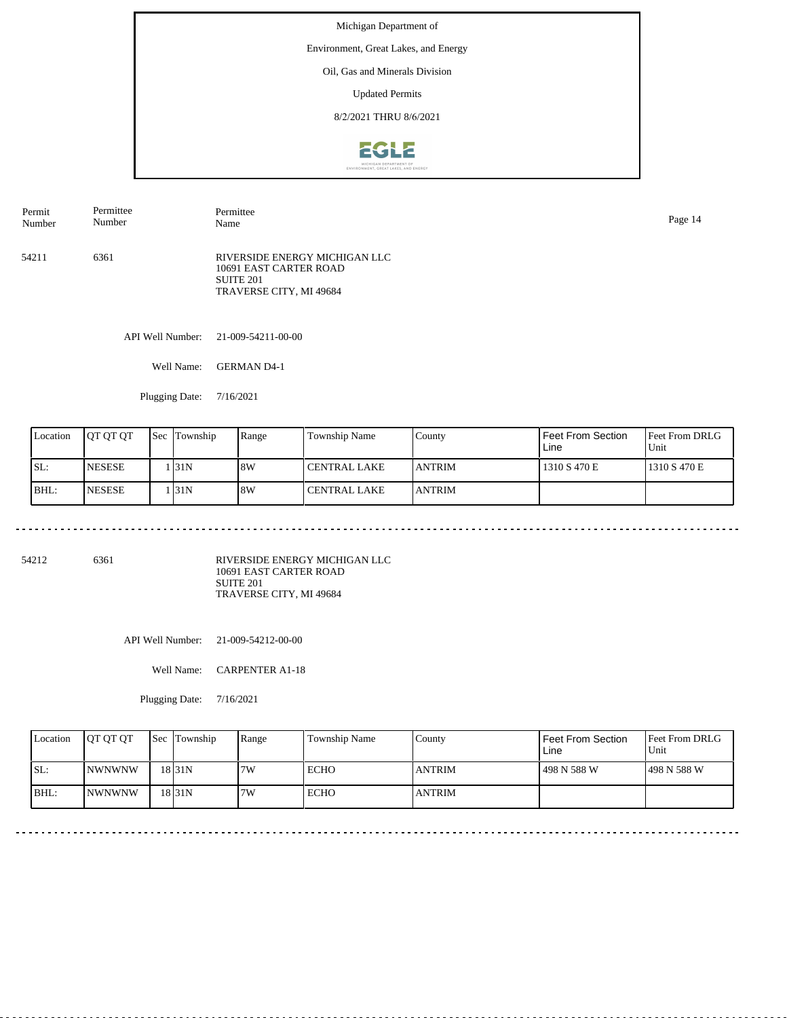Environment, Great Lakes, and Energy

## Oil, Gas and Minerals Division

Updated Permits

8/2/2021 THRU 8/6/2021



| Permit | Permittee | Permittee                                                                                       | Page 14 |
|--------|-----------|-------------------------------------------------------------------------------------------------|---------|
| Number | Number    | Name                                                                                            |         |
| 54211  | 6361      | RIVERSIDE ENERGY MICHIGAN LLC<br>10691 EAST CARTER ROAD<br>SUITE 201<br>TRAVERSE CITY, MI 49684 |         |

API Well Number: 21-009-54211-00-00

Well Name: GERMAN D4-1

Plugging Date: 7/16/2021

| Location | <b>JOT OT OT</b> | <b>Sec Township</b> | Range | Township Name  | County         | Feet From Section<br>Line | <b>Feet From DRLG</b><br>Unit |
|----------|------------------|---------------------|-------|----------------|----------------|---------------------------|-------------------------------|
| ISL:     | <b>NESESE</b>    | l 31N               | 8W    | l CENTRAL LAKE | <b>LANTRIM</b> | 1310 S 470 E              | 1310 S 470 E                  |
| IBHL:    | <b>NESESE</b>    | l 31N               | 18W   | l CENTRAL LAKE | <b>LANTRIM</b> |                           |                               |

54212 6361

RIVERSIDE ENERGY MICHIGAN LLC 10691 EAST CARTER ROAD SUITE 201 TRAVERSE CITY, MI 49684

API Well Number: 21-009-54212-00-00

Well Name: CARPENTER A1-18

Plugging Date: 7/16/2021

| Location | <b>OT OT OT</b> | <b>Sec Township</b> | Range | Township Name | County        | Feet From Section<br>Line | <b>Feet From DRLG</b><br>Unit |
|----------|-----------------|---------------------|-------|---------------|---------------|---------------------------|-------------------------------|
| SL:      | <b>INWNWNW</b>  | 18 <sub>31N</sub>   | 7W    | <b>ECHO</b>   | <b>ANTRIM</b> | 498 N 588 W               | 1498 N 588 W                  |
| IBHL:    | <b>INWNWNW</b>  | 18 <sub>131</sub> N | 7W    | <b>ECHO</b>   | <b>ANTRIM</b> |                           |                               |

--------------------------------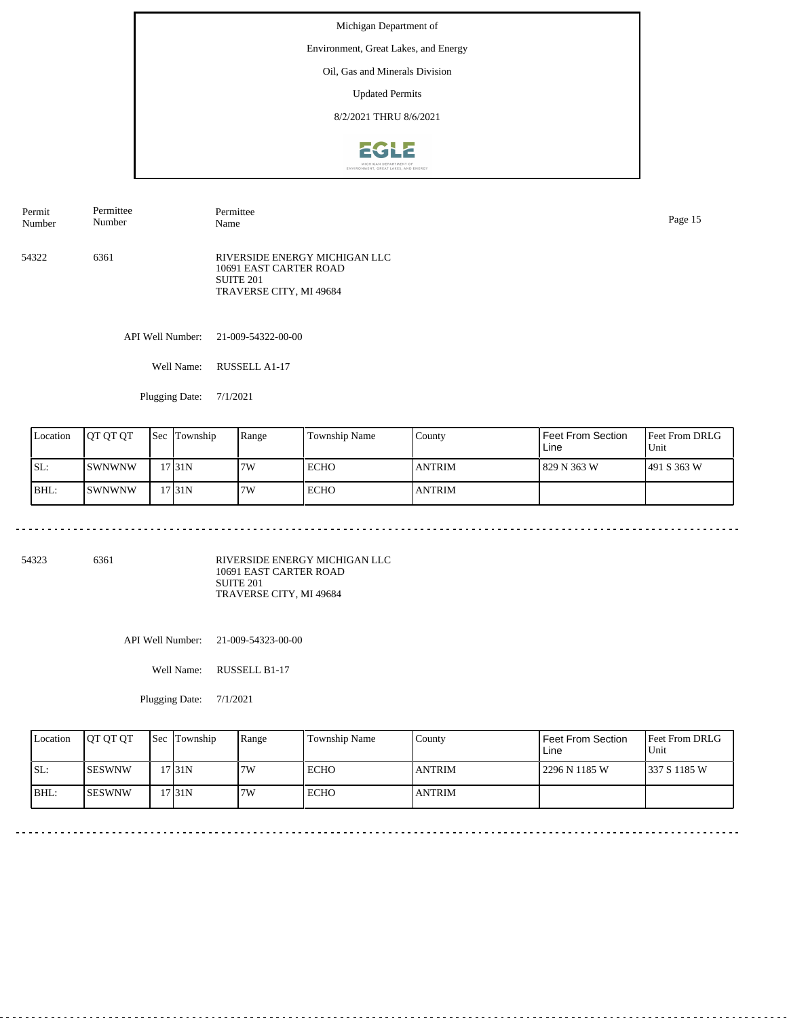Environment, Great Lakes, and Energy

### Oil, Gas and Minerals Division

Updated Permits

8/2/2021 THRU 8/6/2021



54322 6361 RIVERSIDE ENERGY MICHIGAN LLC 10691 EAST CARTER ROAD SUITE 201 TRAVERSE CITY, MI 49684 Permit Number Permittee Number Permittee Name Page 15

API Well Number: 21-009-54322-00-00

Well Name: RUSSELL A1-17

Plugging Date: 7/1/2021

| Location | <b>IOT OT OT</b> | <b>Sec</b> | Township | Range | Township Name | County        | Feet From Section<br>Line | <b>Feet From DRLG</b><br>Unit |
|----------|------------------|------------|----------|-------|---------------|---------------|---------------------------|-------------------------------|
| ISL:     | ISWNWNW          |            | 17 31 N  | 7W    | ECHO          | <b>ANTRIM</b> | l 829 N 363 W             | 1491 S 363 W                  |
| BHL:     | ISWNWNW          |            | 17 31 N  | 7W    | ECHO          | <b>ANTRIM</b> |                           |                               |

54323 6361

RIVERSIDE ENERGY MICHIGAN LLC 10691 EAST CARTER ROAD SUITE 201 TRAVERSE CITY, MI 49684

API Well Number: 21-009-54323-00-00

Well Name: RUSSELL B1-17

| Location | <b>IOT OT OT</b> | <b>Sec</b> Township | Range | <b>Township Name</b> | Countv        | <b>Feet From Section</b><br>Line | <b>Feet From DRLG</b><br>Unit |
|----------|------------------|---------------------|-------|----------------------|---------------|----------------------------------|-------------------------------|
| SL:      | <b>ISESWNW</b>   | 17 31 N             | 7W    | ECHO                 | <b>ANTRIM</b> | 2296 N 1185 W                    | 337 S 1185 W                  |
| IBHL:    | <b>ISESWNW</b>   | 17 31 N             | 7W    | ECHO                 | <b>ANTRIM</b> |                                  |                               |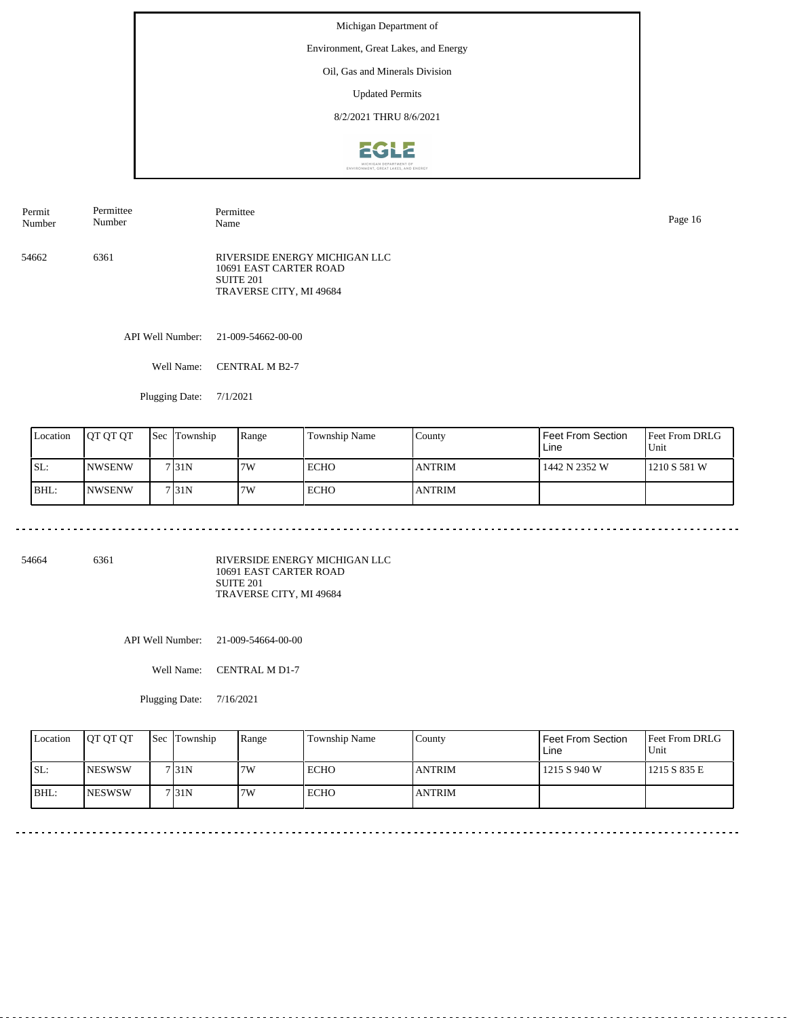Environment, Great Lakes, and Energy

### Oil, Gas and Minerals Division

Updated Permits

8/2/2021 THRU 8/6/2021



54662 6361 RIVERSIDE ENERGY MICHIGAN LLC 10691 EAST CARTER ROAD SUITE 201 TRAVERSE CITY, MI 49684 Permit Number Permittee Number Permittee Name Page 16

API Well Number: 21-009-54662-00-00

Well Name: CENTRAL M B2-7

Plugging Date: 7/1/2021

| Location | <b>JOT OT OT</b> | <b>Sec</b> | Township | Range | Township Name | County        | Feet From Section<br>Line | <b>Feet From DRLG</b><br>Unit |
|----------|------------------|------------|----------|-------|---------------|---------------|---------------------------|-------------------------------|
| ISL:     | INWSENW          |            | 7131N    | 7W    | ECHO          | <b>ANTRIM</b> | 1442 N 2352 W             | 1210 S 581 W                  |
| BHL:     | INWSENW          |            | 7131N    | 7W    | ECHO          | <b>ANTRIM</b> |                           |                               |

54664 6361

RIVERSIDE ENERGY MICHIGAN LLC 10691 EAST CARTER ROAD SUITE 201 TRAVERSE CITY, MI 49684

API Well Number: 21-009-54664-00-00

Well Name: CENTRAL M D1-7

| Location | <b>IOT OT OT</b> | <b>Sec</b> Township | Range | Township Name | Countv        | Feet From Section<br>Line | <b>Feet From DRLG</b><br>Unit |
|----------|------------------|---------------------|-------|---------------|---------------|---------------------------|-------------------------------|
| SL:      | <b>INESWSW</b>   | 7131N               | 7W    | ECHO          | <b>ANTRIM</b> | 1215 S 940 W              | 1215 S 835 E                  |
| BHL:     | <b>INESWSW</b>   | 7 <sub>131</sub> N  | 7W    | ECHO          | <b>ANTRIM</b> |                           |                               |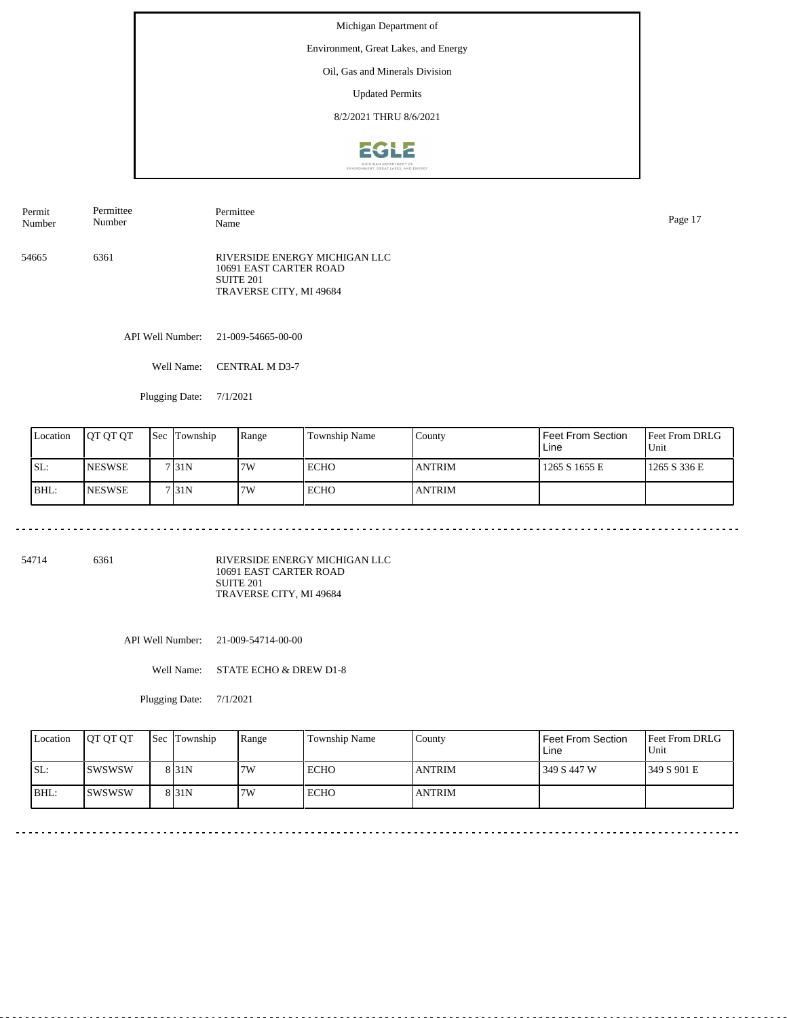Environment, Great Lakes, and Energy

## Oil, Gas and Minerals Division

Updated Permits

8/2/2021 THRU 8/6/2021



| Permit<br>Number | Permittee<br>Number | Permittee<br>Name                                                                                          | Page 17 |
|------------------|---------------------|------------------------------------------------------------------------------------------------------------|---------|
| 54665            | 6361                | RIVERSIDE ENERGY MICHIGAN LLC<br>10691 EAST CARTER ROAD<br>SUITE <sub>201</sub><br>TRAVERSE CITY, MI 49684 |         |

API Well Number: 21-009-54665-00-00

Well Name: CENTRAL M D3-7

Plugging Date: 7/1/2021

| Location | <b>JOT OT OT</b> | <b>Sec Township</b> | Range | <b>Township Name</b> | County        | Feet From Section<br>Line | <b>Feet From DRLG</b><br>Unit |
|----------|------------------|---------------------|-------|----------------------|---------------|---------------------------|-------------------------------|
| SL:      | <b>NESWSE</b>    | 7131N               | 7W    | <b>ECHO</b>          | <b>ANTRIM</b> | 1265 S 1655 E             | 1265 S 336 E                  |
| BHL:     | <b>INESWSE</b>   | 7131N               | 7W    | <b>ECHO</b>          | <b>ANTRIM</b> |                           |                               |

54714 6361

RIVERSIDE ENERGY MICHIGAN LLC 10691 EAST CARTER ROAD SUITE 201 TRAVERSE CITY, MI 49684

API Well Number: 21-009-54714-00-00

Well Name: STATE ECHO & DREW D1-8

Plugging Date: 7/1/2021

| Location | <b>OT OT OT</b> | <b>Sec Township</b> | Range | Township Name | Countv        | Feet From Section<br>Line | <b>Feet From DRLG</b><br>Unit |
|----------|-----------------|---------------------|-------|---------------|---------------|---------------------------|-------------------------------|
| SL:      | Iswswsw         | 8 <sub>31N</sub>    | 7W    | ECHO          | <b>ANTRIM</b> | 349 S 447 W               | 1349 S 901 E                  |
| IBHL:    | ISWSWSW         | 8 <sub>31N</sub>    | 7W    | ECHO          | <b>ANTRIM</b> |                           |                               |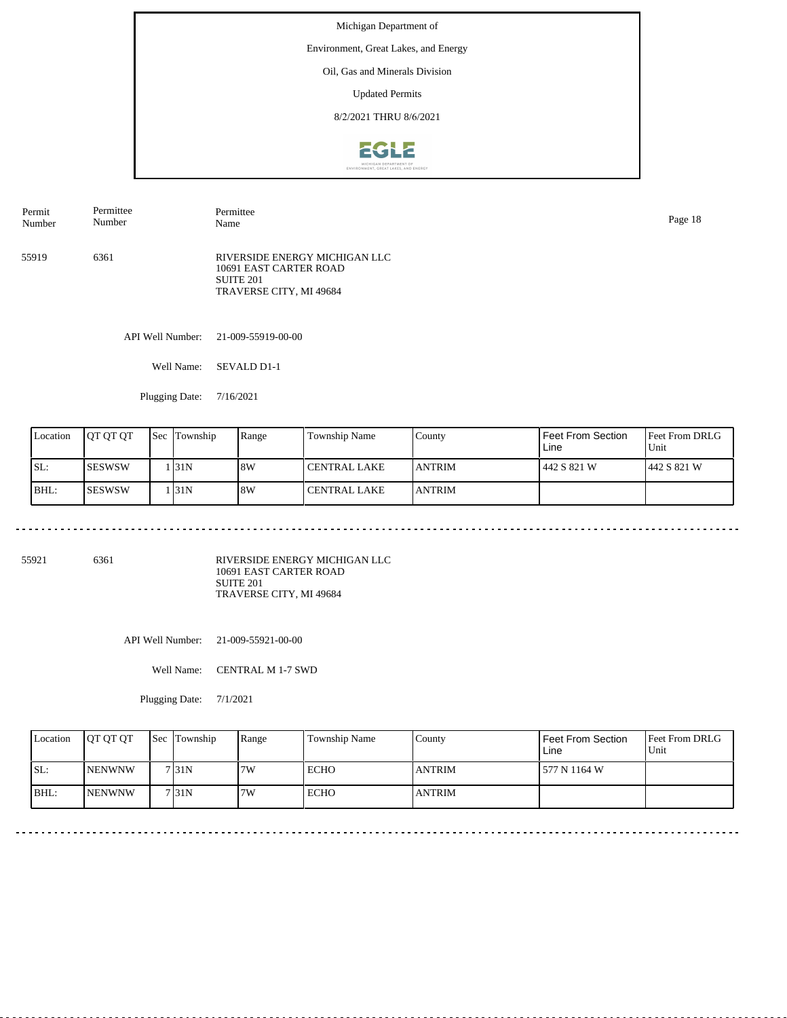Environment, Great Lakes, and Energy

### Oil, Gas and Minerals Division

Updated Permits

8/2/2021 THRU 8/6/2021



55919 6361 RIVERSIDE ENERGY MICHIGAN LLC 10691 EAST CARTER ROAD SUITE 201 TRAVERSE CITY, MI 49684 Permit Number Permittee Number Permittee Name Page 18

API Well Number: 21-009-55919-00-00

Well Name: SEVALD D1-1

Plugging Date: 7/16/2021

| Location | IOT OT OT | Sec | Township | Range | Township Name         | County         | Feet From Section<br>Line | <b>Feet From DRLG</b><br>Unit |
|----------|-----------|-----|----------|-------|-----------------------|----------------|---------------------------|-------------------------------|
| SL:      | ISESWSW   |     | . 31N    | 8W    | <b>CENTRAL LAKE</b>   | <b>JANTRIM</b> | 442 S 821 W               | 1442 S 821 W                  |
| BHL:     | ISESWSW   |     | . 131 N  | 8W    | <b>I CENTRAL LAKE</b> | <b>JANTRIM</b> |                           |                               |

55921 6361

RIVERSIDE ENERGY MICHIGAN LLC 10691 EAST CARTER ROAD SUITE 201 TRAVERSE CITY, MI 49684

API Well Number: 21-009-55921-00-00

Well Name: CENTRAL M 1-7 SWD

| Location | <b>OT OT OT</b> | <b>Sec Township</b> | Range | Township Name | Countv        | Feet From Section<br>Line | <b>Feet From DRLG</b><br>Unit |
|----------|-----------------|---------------------|-------|---------------|---------------|---------------------------|-------------------------------|
| SL:      | <b>INENWNW</b>  | 7131N               | 7W    | <b>ECHO</b>   | <b>ANTRIM</b> | 1 577 N 1164 W            |                               |
| IBHL:    | <b>INENWNW</b>  | 7131N               | 7W    | <b>ECHO</b>   | <b>ANTRIM</b> |                           |                               |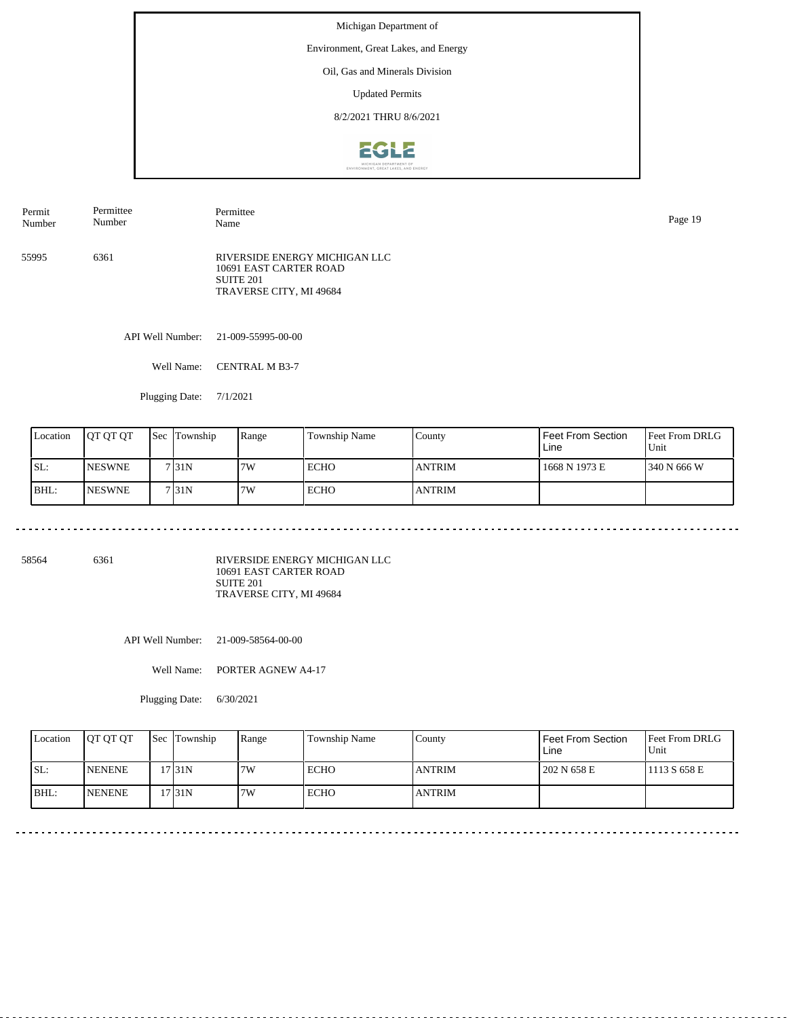Environment, Great Lakes, and Energy

### Oil, Gas and Minerals Division

Updated Permits

8/2/2021 THRU 8/6/2021



55995 6361 RIVERSIDE ENERGY MICHIGAN LLC 10691 EAST CARTER ROAD SUITE 201 TRAVERSE CITY, MI 49684 Permit Number Permittee Number Permittee Name Page 19

API Well Number: 21-009-55995-00-00

Well Name: CENTRAL M B3-7

Plugging Date: 7/1/2021

| Location | <b>JOT OT OT</b> | <b>Sec Township</b> | Range | <b>Township Name</b> | County        | Feet From Section<br>Line | <b>Feet From DRLG</b><br>Unit |
|----------|------------------|---------------------|-------|----------------------|---------------|---------------------------|-------------------------------|
| SL:      | <b>NESWNE</b>    | 7131N               | 7W    | <b>ECHO</b>          | <b>ANTRIM</b> | 1668 N 1973 E             | 1340 N 666 W                  |
| BHL:     | <b>INESWNE</b>   | 7131N               | 7W    | <b>ECHO</b>          | <b>ANTRIM</b> |                           |                               |

58564 6361

RIVERSIDE ENERGY MICHIGAN LLC 10691 EAST CARTER ROAD SUITE 201 TRAVERSE CITY, MI 49684

API Well Number: 21-009-58564-00-00

Well Name: PORTER AGNEW A4-17

Plugging Date: 6/30/2021

| Location | <b>OT OT OT</b> | <b>Sec Township</b> | Range | Township Name | County        | Feet From Section<br>Line | <b>Feet From DRLG</b><br>Unit |
|----------|-----------------|---------------------|-------|---------------|---------------|---------------------------|-------------------------------|
| ISL:     | <b>NENENE</b>   | 17 31 N             | 7W    | <b>ECHO</b>   | <b>ANTRIM</b> | 202 N 658 E               | 1113 S 658 E                  |
| IBHL:    | <b>INENENE</b>  | 17 I 31 N           | 7W    | <b>ECHO</b>   | <b>ANTRIM</b> |                           |                               |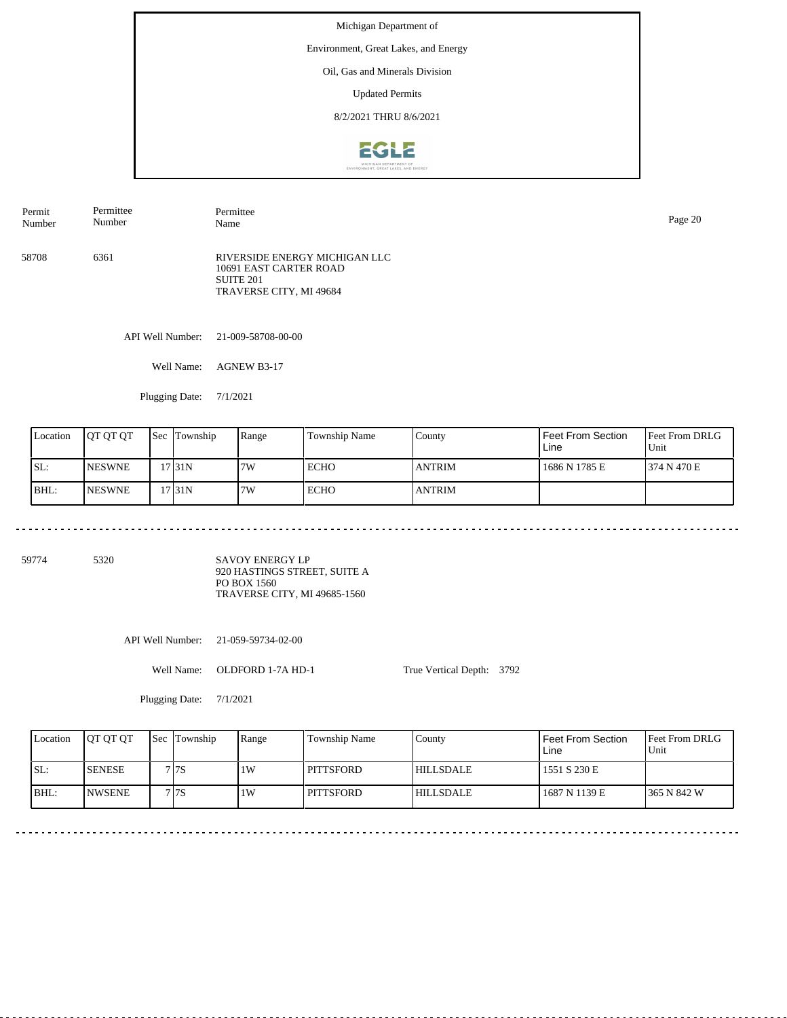Environment, Great Lakes, and Energy

## Oil, Gas and Minerals Division

Updated Permits

8/2/2021 THRU 8/6/2021



| Permit | Permittee | Permittee                                                                                       | Page 20 |
|--------|-----------|-------------------------------------------------------------------------------------------------|---------|
| Number | Number    | Name                                                                                            |         |
| 58708  | 6361      | RIVERSIDE ENERGY MICHIGAN LLC<br>10691 EAST CARTER ROAD<br>SUITE 201<br>TRAVERSE CITY, MI 49684 |         |

API Well Number: 21-009-58708-00-00

Well Name: AGNEW B3-17

Plugging Date: 7/1/2021

<u>. . . . . . . . . . . . . . . . . .</u>

| Location | <b>IOT OT OT</b> | <b>Sec Township</b> | Range | <b>Township Name</b> | County        | Feet From Section<br>Line | <b>Feet From DRLG</b><br>Unit |
|----------|------------------|---------------------|-------|----------------------|---------------|---------------------------|-------------------------------|
| SL:      | <b>INESWNE</b>   | 17 31 N             | 7W    | <b>ECHO</b>          | <b>ANTRIM</b> | 1686 N 1785 E             | 1374 N 470 E                  |
| BHL:     | <b>INESWNE</b>   | 17 31 N             | 7W    | <b>ECHO</b>          | <b>ANTRIM</b> |                           |                               |

59774 5320

SAVOY ENERGY LP 920 HASTINGS STREET, SUITE A PO BOX 1560 TRAVERSE CITY, MI 49685-1560

API Well Number: 21-059-59734-02-00

Well Name: OLDFORD 1-7A HD-1

True Vertical Depth: 3792

| Location | <b>IOT OT OT</b> | <b>ISec ITownship</b> | Range | Township Name | County           | <b>Feet From Section</b><br>Line | <b>Feet From DRLG</b><br>Unit |
|----------|------------------|-----------------------|-------|---------------|------------------|----------------------------------|-------------------------------|
| SL:      | <b>SENESE</b>    | 7 I 7 S               | 1W    | PITTSFORD     | <b>HILLSDALE</b> | 1551 S 230 E                     |                               |
| BHL:     | <b>INWSENE</b>   | 7 I 7 S               | 1W    | PITTSFORD     | <b>HILLSDALE</b> | 1687 N 1139 E                    | 1365 N 842 W                  |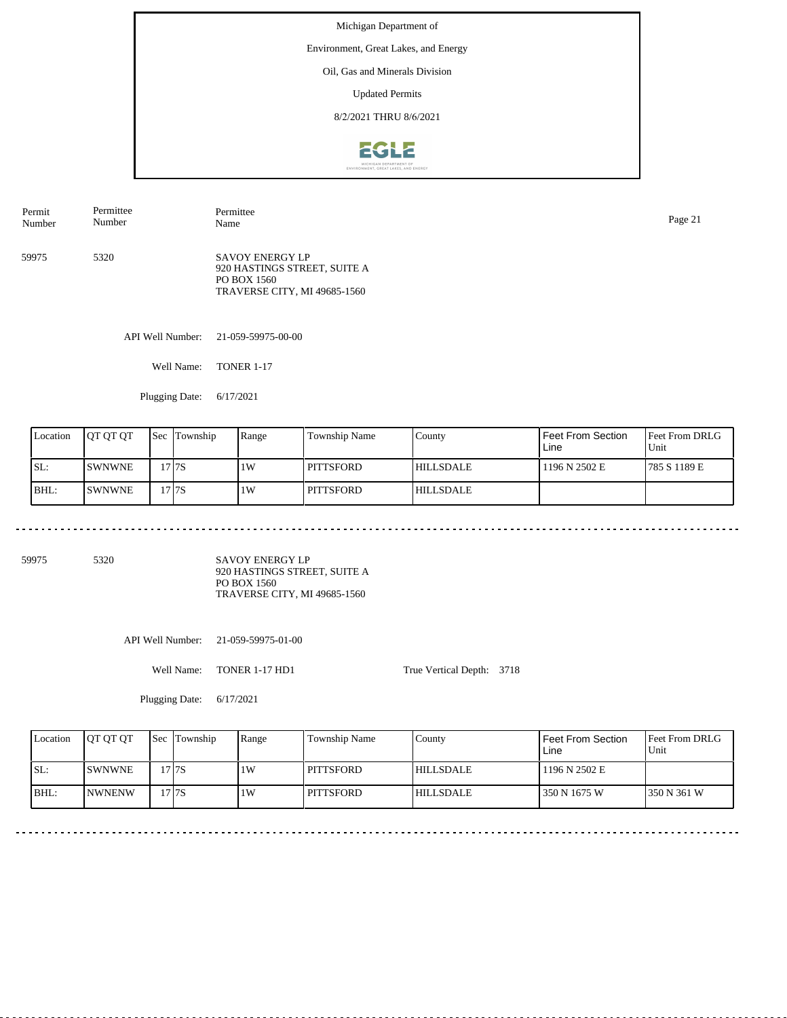Environment, Great Lakes, and Energy

### Oil, Gas and Minerals Division

Updated Permits

8/2/2021 THRU 8/6/2021



59975 5320 SAVOY ENERGY LP 920 HASTINGS STREET, SUITE A PO BOX 1560 TRAVERSE CITY, MI 49685-1560 Permit Number Permittee Number Permittee Name Page 21

API Well Number: 21-059-59975-00-00

Well Name: TONER 1-17

Plugging Date: 6/17/2021

| Location | IOT OT OT     | <b>Sec</b> | Township | Range | Township Name    | County           | Feet From Section<br>Line | <b>Feet From DRLG</b><br>Unit |
|----------|---------------|------------|----------|-------|------------------|------------------|---------------------------|-------------------------------|
| SL:      | <b>SWNWNE</b> |            | !7 I 7 S | 1W    | <b>PITTSFORD</b> | <b>HILLSDALE</b> | 1196 N 2502 E             | 1785 S 1189 E                 |
| BHL:     | <b>SWNWNE</b> |            | !7 I 7 S | 1W    | <b>PITTSFORD</b> | <b>HILLSDALE</b> |                           |                               |

59975 5320

SAVOY ENERGY LP 920 HASTINGS STREET, SUITE A PO BOX 1560 TRAVERSE CITY, MI 49685-1560

API Well Number: 21-059-59975-01-00

Well Name: TONER 1-17 HD1

Plugging Date: 6/17/2021

True Vertical Depth: 3718

Feet From DRLG Unit 350 N 361 W 1196 N 2502 E 350 N 1675 W Feet From Section Line County HILLSDALE HILLSDALE Location | QT QT QT | Sec | Township | Range | Township Name SL: BHL: SWNWNE NWNENW Sec Township 17 7S 17 7S  $1W$ 1W PITTSFORD **PITTSFORD**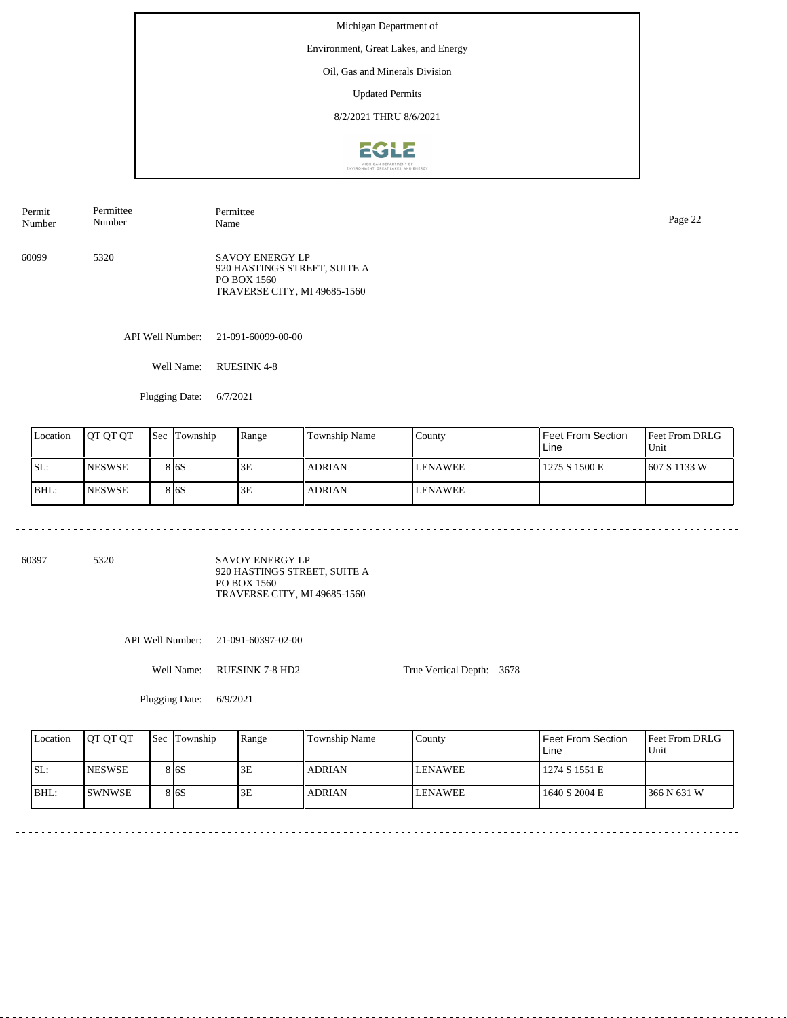Environment, Great Lakes, and Energy

## Oil, Gas and Minerals Division

Updated Permits

8/2/2021 THRU 8/6/2021



| Permit | Permittee | Permittee                                                                                             | Page 22 |
|--------|-----------|-------------------------------------------------------------------------------------------------------|---------|
| Number | Number    | Name                                                                                                  |         |
| 60099  | 5320      | <b>SAVOY ENERGY LP</b><br>920 HASTINGS STREET, SUITE A<br>PO BOX 1560<br>TRAVERSE CITY, MI 49685-1560 |         |

API Well Number: 21-091-60099-00-00

Well Name: RUESINK 4-8

Plugging Date: 6/7/2021

<u>. . . . . . . . . . . . . . . . . .</u>

| Location | <b>IOT OT OT</b> | <b>Sec</b> | Township          | Range | Township Name | County         | Feet From Section<br>Line | <b>Feet From DRLG</b><br>Unit |
|----------|------------------|------------|-------------------|-------|---------------|----------------|---------------------------|-------------------------------|
| ISL:     | <b>INESWSE</b>   |            | 8 <sub>16</sub> S | 3E    | <b>ADRIAN</b> | <b>LENAWEE</b> | 1275 S 1500 E             | 607 S 1133 W                  |
| BHL:     | <b>INESWSE</b>   |            | 8 <sub>16</sub> S | 3E    | <b>ADRIAN</b> | <b>LENAWEE</b> |                           |                               |

60397 5320

SAVOY ENERGY LP 920 HASTINGS STREET, SUITE A PO BOX 1560 TRAVERSE CITY, MI 49685-1560

API Well Number: 21-091-60397-02-00

Well Name: RUESINK 7-8 HD2

True Vertical Depth: 3678

Plugging Date: 6/9/2021

| Location | <b>IOT OT OT</b> | <b>Sec Township</b> | Range | Township Name | County  | <b>Feet From Section</b><br>Line | <b>Feet From DRLG</b><br>Unit |
|----------|------------------|---------------------|-------|---------------|---------|----------------------------------|-------------------------------|
| SL:      | <b>INESWSE</b>   | 8 6 S               | 3E    | <b>ADRIAN</b> | LENAWEE | 1274 S 1551 E                    |                               |
| BHL:     | <b>SWNWSE</b>    | 8 I 6 S             | 3E    | <b>ADRIAN</b> | LENAWEE | 1640 S 2004 E                    | 1366 N 631 W                  |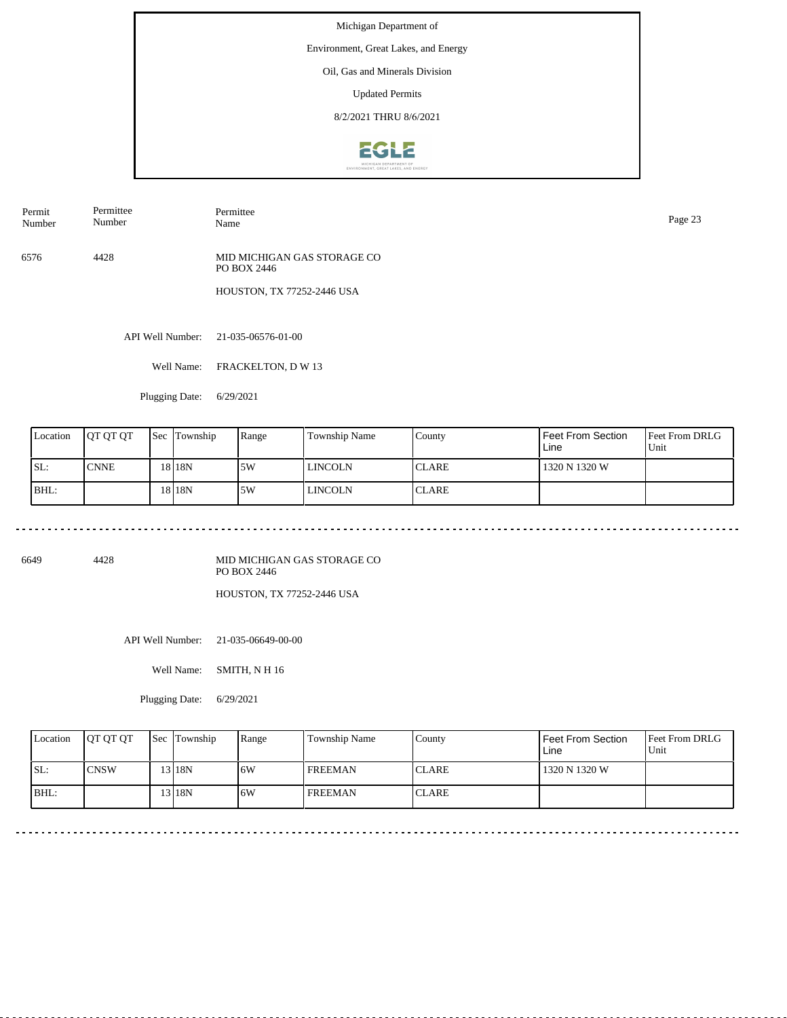Environment, Great Lakes, and Energy

Oil, Gas and Minerals Division

Updated Permits

8/2/2021 THRU 8/6/2021



Permit Number Permittee Number Permittee

6576 4428 MID MICHIGAN GAS STORAGE CO PO BOX 2446

HOUSTON, TX 77252-2446 USA

API Well Number: 21-035-06576-01-00

Well Name: FRACKELTON, D W 13

Plugging Date: 6/29/2021

. . . . . . . . . . . . . . . . . . .

| Location | <b>IOT OT OT</b> | <b>Sec</b> | Township | Range | Township Name | County       | Feet From Section<br>Line | <b>Feet From DRLG</b><br>Unit |
|----------|------------------|------------|----------|-------|---------------|--------------|---------------------------|-------------------------------|
| ISL:     | <b>CNNE</b>      |            | 18 18N   | 15W   | l lincoln     | <b>CLARE</b> | 1320 N 1320 W             |                               |
| BHL:     |                  |            | 18 18N   | 5W    | l lincoln     | <b>CLARE</b> |                           |                               |

6649 4428

MID MICHIGAN GAS STORAGE CO PO BOX 2446

HOUSTON, TX 77252-2446 USA

API Well Number: 21-035-06649-00-00

Well Name: SMITH, N H 16

Plugging Date: 6/29/2021

| Location | <b>OT OT OT</b> | <b>Sec Township</b> | Range | Township Name  | Countv       | <b>Feet From Section</b><br>Line | <b>Feet From DRLG</b><br>Unit |
|----------|-----------------|---------------------|-------|----------------|--------------|----------------------------------|-------------------------------|
| ISL:     | ICNSW           | 3 18N               | 16W   | <b>FREEMAN</b> | <b>CLARE</b> | 1320 N 1320 W                    |                               |
| BHL:     |                 | 3 18N               | 16W   | <b>FREEMAN</b> | <b>CLARE</b> |                                  |                               |

Page 23<br>Name Page 23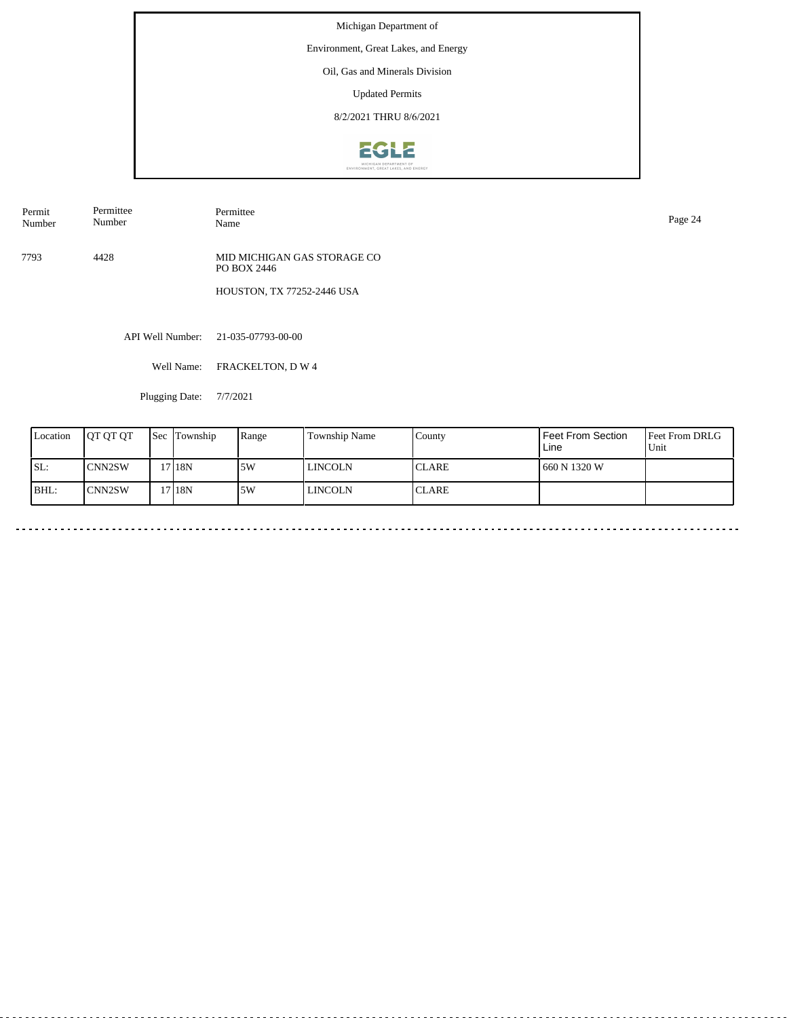Environment, Great Lakes, and Energy

# Oil, Gas and Minerals Division

Updated Permits

8/2/2021 THRU 8/6/2021



Permit Number Permittee Number

7793 4428 MID MICHIGAN GAS STORAGE CO PO BOX 2446

HOUSTON, TX 77252-2446 USA

API Well Number: 21-035-07793-00-00

Well Name: FRACKELTON, D W 4

Permittee<br>Name

Plugging Date: 7/7/2021

| Location | <b>IOT OT OT</b> | <b>Sec</b> Township | Range | Township Name | County        | <b>Feet From Section</b><br>Line | <b>Feet From DRLG</b><br>Unit |
|----------|------------------|---------------------|-------|---------------|---------------|----------------------------------|-------------------------------|
| SL:      | <b>CNN2SW</b>    | 17 18N              | 5W    | l lincoln     | <b>ICLARE</b> | 660 N 1320 W                     |                               |
| BHL:     | ICNN2SW          | 17 18N              | 5W    | l lincoln     | <b>ICLARE</b> |                                  |                               |

Name Page 24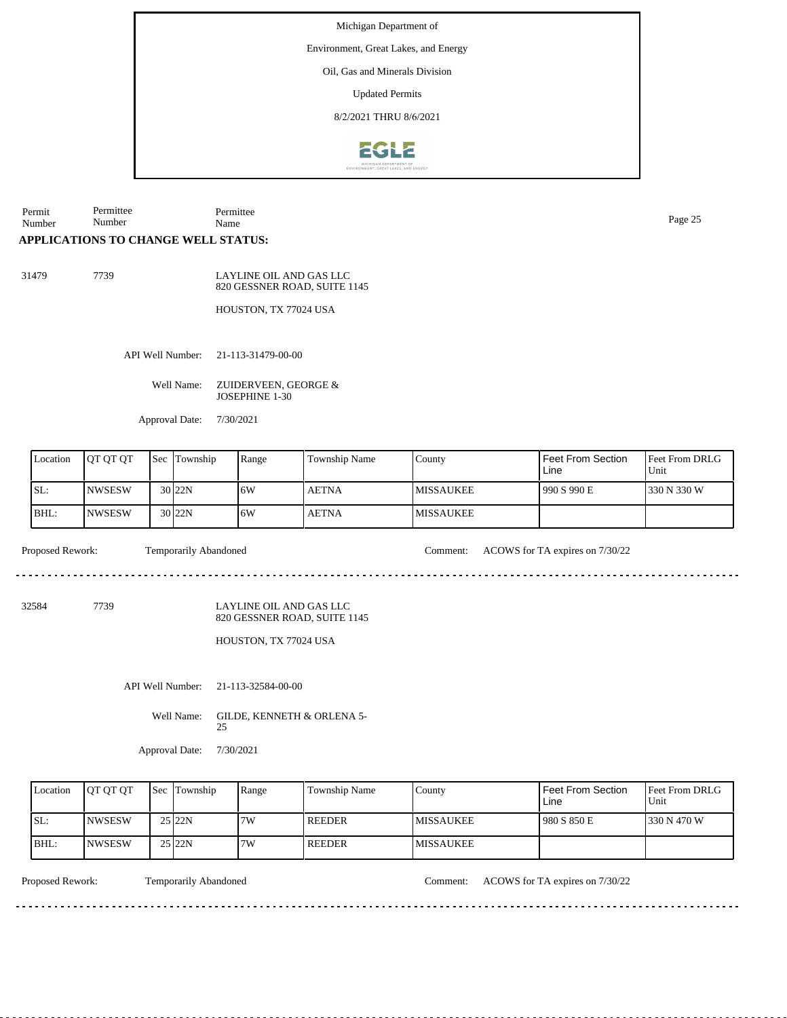Environment, Great Lakes, and Energy

Oil, Gas and Minerals Division

Updated Permits

8/2/2021 THRU 8/6/2021



Permit Number Permittee Number Permittee Name Page 25

#### **APPLICATIONS TO CHANGE WELL STATUS:**

31479 7739

LAYLINE OIL AND GAS LLC 820 GESSNER ROAD, SUITE 1145

HOUSTON, TX 77024 USA

API Well Number: 21-113-31479-00-00

Well Name: ZUIDERVEEN, GEORGE & JOSEPHINE 1-30

Approval Date: 7/30/2021

| Location | <b>IOT OT OT</b> | <b>Sec</b> Township | Range | Township Name | County            | <b>Feet From Section</b><br>Line | <b>Feet From DRLG</b><br>Unit |
|----------|------------------|---------------------|-------|---------------|-------------------|----------------------------------|-------------------------------|
| SL:      | <b>INWSESW</b>   | $30$  22N           | 16W   | <b>AETNA</b>  | <b>IMISSAUKEE</b> | 990 S 990 E                      | 330 N 330 W                   |
| BHL:     | <b>INWSESW</b>   | $30$  22N           | 16W   | <b>AETNA</b>  | <b>IMISSAUKEE</b> |                                  |                               |

Proposed Rework: Temporarily Abandoned Comment: ACOWS for TA expires on 7/30/22

32584 7739

LAYLINE OIL AND GAS LLC 820 GESSNER ROAD, SUITE 1145

HOUSTON, TX 77024 USA

API Well Number: 21-113-32584-00-00

Well Name: GILDE, KENNETH & ORLENA 5-25

Approval Date: 7/30/2021

| Location | <b>IOT OT OT</b> | <b>Sec</b> Township | Range | Township Name | County            | <b>Feet From Section</b><br>Line | <b>Feet From DRLG</b><br>Unit |
|----------|------------------|---------------------|-------|---------------|-------------------|----------------------------------|-------------------------------|
| SL:      | <b>INWSESW</b>   | $25$ <sub>22N</sub> | 7W    | <b>REEDER</b> | <b>IMISSAUKEE</b> | 980 S 850 E                      | 1330 N 470 W                  |
| BHL:     | <b>INWSESW</b>   | 25 22N              | 7W    | REEDER        | <b>MISSAUKEE</b>  |                                  |                               |

. . . . . . . . . . . . . . . . . . .

<u>. . . . . . . .</u>

Proposed Rework: Temporarily Abandoned Comment: ACOWS for TA expires on 7/30/22

<u>. . . . . . . . . . . . . . .</u>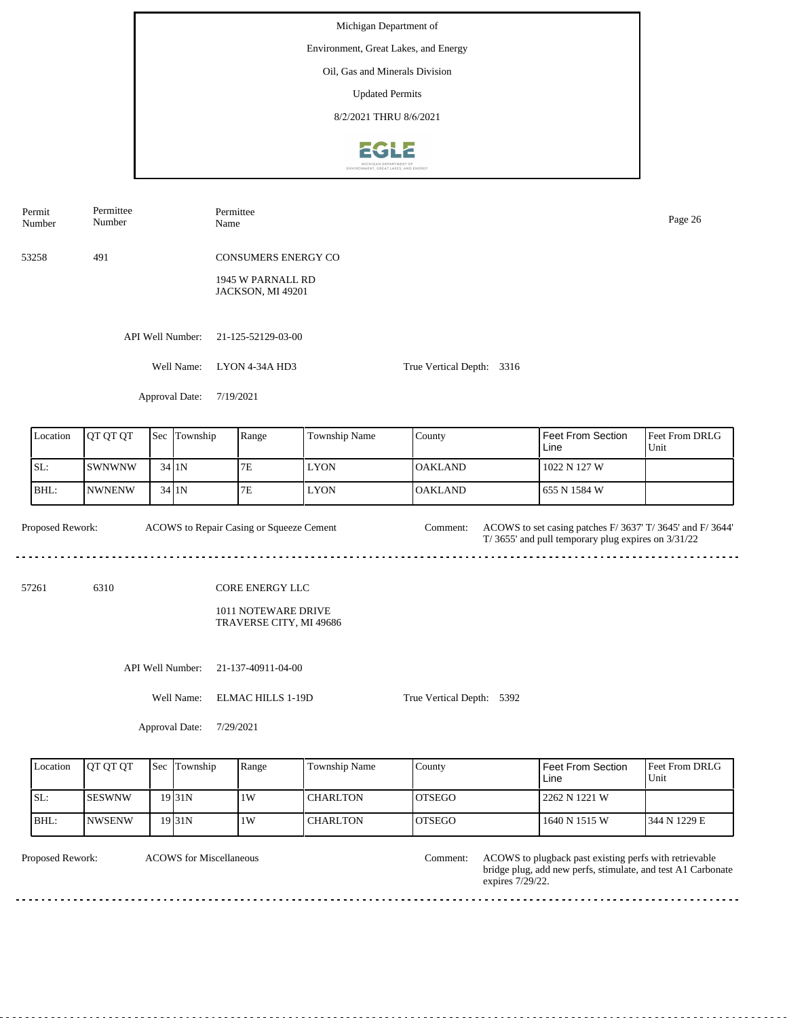Michigan Department of Environment, Great Lakes, and Energy Oil, Gas and Minerals Division Updated Permits 8/2/2021 THRU 8/6/20212612

Permittee Permit Permittee Number Name Page 26 Number 53258 491 CONSUMERS ENERGY CO 1945 W PARNALL RD JACKSON, MI 49201 API Well Number: 21-125-52129-03-00 Well Name: LYON 4-34A HD3 True Vertical Depth: 3316 Approval Date: 7/19/2021 Feet From Section Location | QT QT QT | Sec | Township | Range | Township Name Sec Township County Feet From DRLG Line Unit SL: SWNWNW 7E LYON OAKLAND 1022 N 127 W 34 1N BHL: NWNENW 1N 7E LYON OAKLAND 655 N 1584 W 34 Proposed Rework: ACOWS to Repair Casing or Squeeze Cement Comment: ACOWS to set casing patches F/ 3637' T/ 3645' and F/ 3644' ACOWS to Repair Casing or Squeeze Cement Comment: T/ 3655' and pull temporary plug expires on 3/31/22 . . . . . . . . . . . . ----------------------------

57261 6310

1011 NOTEWARE DRIVE TRAVERSE CITY, MI 49686

CORE ENERGY LLC

API Well Number: 21-137-40911-04-00

Well Name: ELMAC HILLS 1-19D

True Vertical Depth: 5392

Approval Date: 7/29/2021

| Location | <b>OT OT OT</b> | Sec | Township            | Range | <b>Township Name</b> | County         | l Feet From Section .<br>Line | Feet From DRLG<br>Unit |
|----------|-----------------|-----|---------------------|-------|----------------------|----------------|-------------------------------|------------------------|
| SL:      | <b>ISESWNW</b>  |     | 19 <sub>131</sub> N | 1W    | CHARLTON             | <b>IOTSEGO</b> | l 2262 N 1221 W               |                        |
| BHL:     | <b>NWSENW</b>   |     | 19 <sub>31</sub> N  | .1W   | <b>CHARLTON</b>      | <b>IOTSEGO</b> | 1640 N 1515 W                 | 1344 N 1229 E          |

dia a dia a d

ACOWS for Miscellaneous

Proposed Rework: ACOWS to plugback past existing perfs with retrievable bridge plug, add new perfs, stimulate, and test A1 Carbonate expires 7/29/22. Comment:

a a a a a a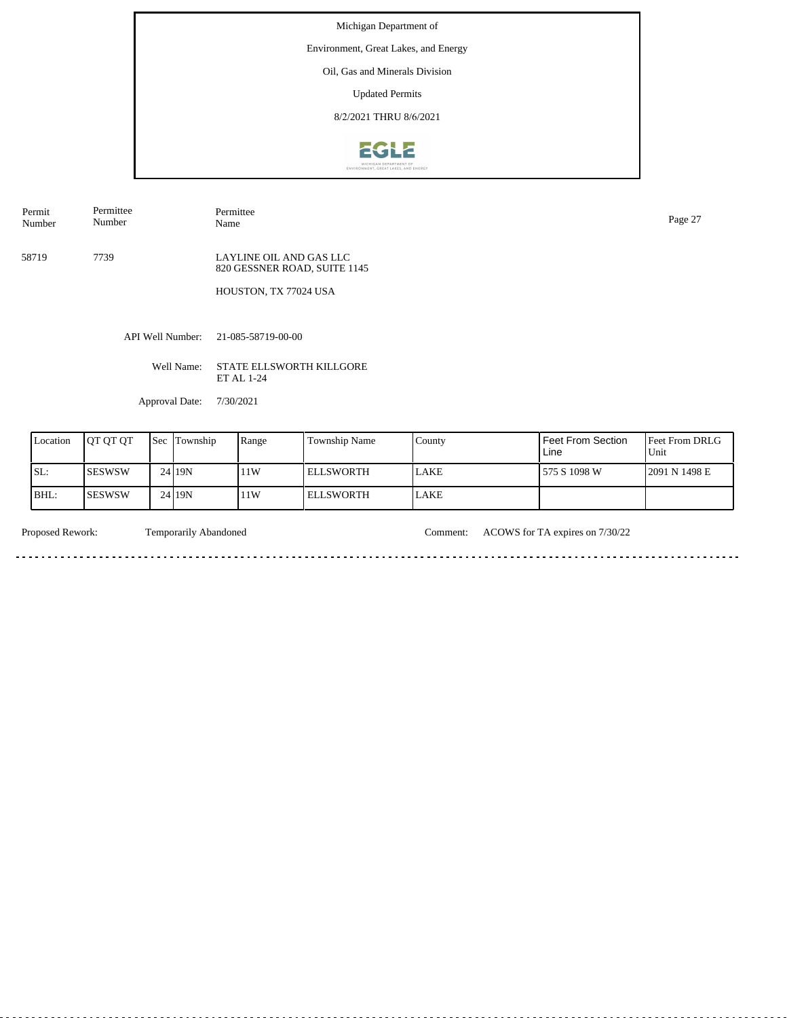Environment, Great Lakes, and Energy

Oil, Gas and Minerals Division

Updated Permits

8/2/2021 THRU 8/6/2021



Permit Number Permittee Number

Permittee Name Page 27

58719 7739 LAYLINE OIL AND GAS LLC 820 GESSNER ROAD, SUITE 1145

HOUSTON, TX 77024 USA

API Well Number: 21-085-58719-00-00

Well Name: STATE ELLSWORTH KILLGORE ET AL 1-24

Approval Date: 7/30/2021

| Location | <b>OT OT OT</b> | Sec | Township | Range | <b>Township Name</b> | County       | Feet From Section<br>Line | <b>Feet From DRLG</b><br>Unit |
|----------|-----------------|-----|----------|-------|----------------------|--------------|---------------------------|-------------------------------|
| SL:      | ISESWSW         |     | 24 19N   | 11W   | I ELLSWORTH          | <b>ILAKE</b> | 1575 S 1098 W             | 2091 N 1498 E                 |
| IBHL:    | ISESWSW         |     | 24 19 N  | 11W   | I ELLSWORTH          | <b>LAKE</b>  |                           |                               |

a a

Proposed Rework: Temporarily Abandoned Comment: ACOWS for TA expires on 7/30/22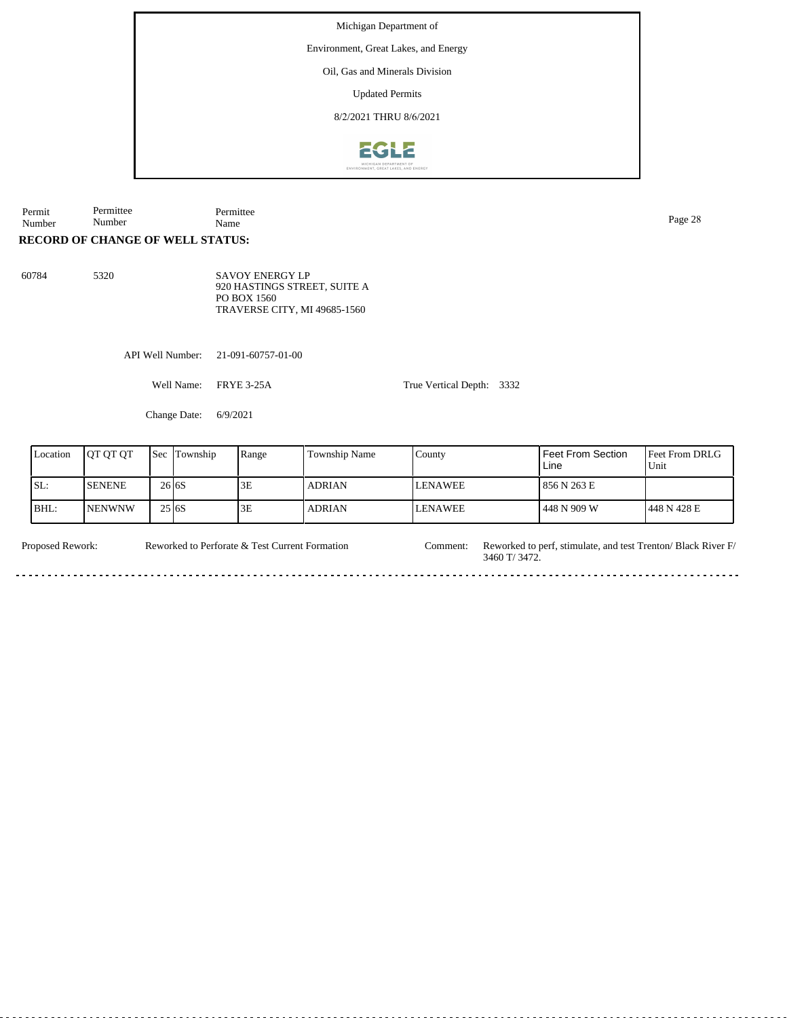Environment, Great Lakes, and Energy

Oil, Gas and Minerals Division

Updated Permits

8/2/2021 THRU 8/6/2021



Permit Number Permittee Number Permittee Name Page 28

#### **RECORD OF CHANGE OF WELL STATUS:**

60784 5320

SAVOY ENERGY LP 920 HASTINGS STREET, SUITE A PO BOX 1560 TRAVERSE CITY, MI 49685-1560

API Well Number: 21-091-60757-01-00

Well Name: FRYE 3-25A

True Vertical Depth: 3332

Change Date: 6/9/2021

| Location | <b>OT OT OT</b> | Sec          | Township | Range | <b>Township Name</b> | County         | l Feet From Section.<br>Line | Feet From DRLG<br>Unit |
|----------|-----------------|--------------|----------|-------|----------------------|----------------|------------------------------|------------------------|
| ISL:     | <b>ISENENE</b>  | 26 6S        |          | 3E    | <b>ADRIAN</b>        | <b>LENAWEE</b> | 856 N 263 E                  |                        |
| BHL:     | <b>INENWNW</b>  | 25 <b>6S</b> |          | 3E    | <b>ADRIAN</b>        | LENAWEE        | l 448 N 909 W                | 1448 N 428 E           |

Reworked to Perforate & Test Current Formation

Proposed Rework: Reworked to Perforate & Test Current Formation Comment: Reworked to perf, stimulate, and test Trenton/ Black River F/ 3460 T/ 3472. Comment:

 $\overline{a}$  .  $\overline{a}$